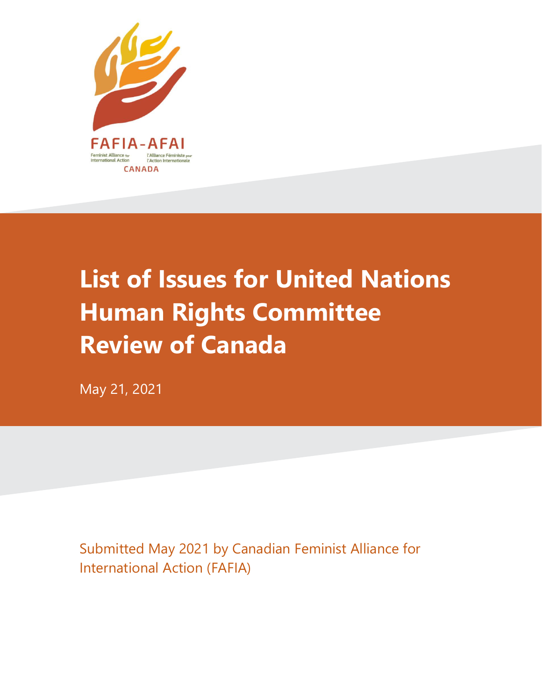

# **List of Issues for United Nations Human Rights Committee Review of Canada**

May 21, 2021

Submitted May 2021 by Canadian Feminist Alliance for International Action (FAFIA)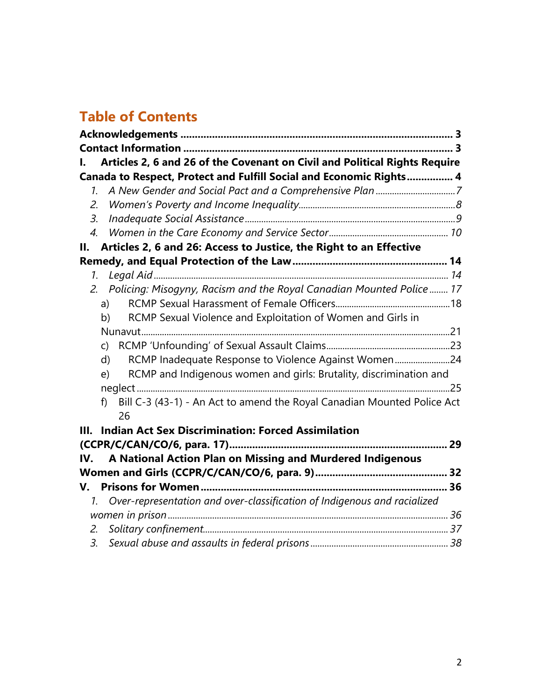# **Table of Contents**

| Articles 2, 6 and 26 of the Covenant on Civil and Political Rights Require<br>L. |  |
|----------------------------------------------------------------------------------|--|
| Canada to Respect, Protect and Fulfill Social and Economic Rights 4              |  |
| 1.                                                                               |  |
| 2.                                                                               |  |
| 3.                                                                               |  |
| $\overline{4}$ .                                                                 |  |
| Articles 2, 6 and 26: Access to Justice, the Right to an Effective<br>Н.         |  |
|                                                                                  |  |
| 1.                                                                               |  |
| Policing: Misogyny, Racism and the Royal Canadian Mounted Police 17<br>2.        |  |
| a)                                                                               |  |
| RCMP Sexual Violence and Exploitation of Women and Girls in<br>b)                |  |
|                                                                                  |  |
| C)                                                                               |  |
| RCMP Inadequate Response to Violence Against Women24<br>d)                       |  |
| RCMP and Indigenous women and girls: Brutality, discrimination and<br>e)         |  |
|                                                                                  |  |
| Bill C-3 (43-1) - An Act to amend the Royal Canadian Mounted Police Act<br>f)    |  |
| 26                                                                               |  |
| <b>Indian Act Sex Discrimination: Forced Assimilation</b><br>III.                |  |
|                                                                                  |  |
| A National Action Plan on Missing and Murdered Indigenous<br>IV.                 |  |
|                                                                                  |  |
| V.                                                                               |  |
| Over-representation and over-classification of Indigenous and racialized<br>1.   |  |
|                                                                                  |  |
| 2.                                                                               |  |
| 3.                                                                               |  |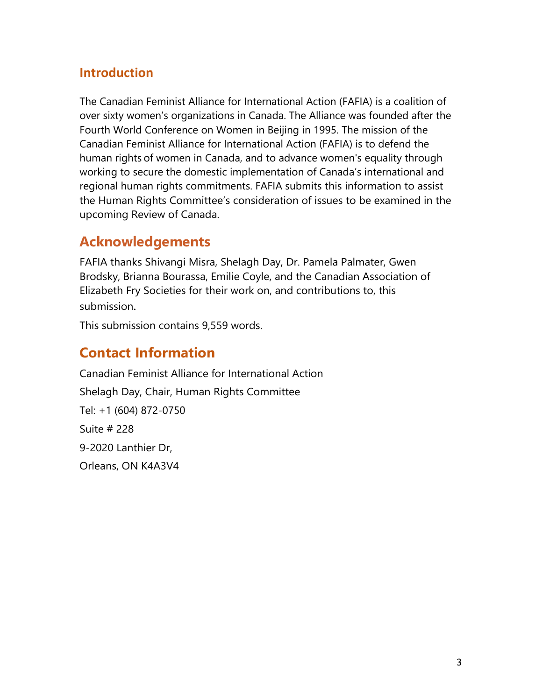## **Introduction**

The Canadian Feminist Alliance for International Action (FAFIA) is a coalition of over sixty women's organizations in Canada. The Alliance was founded after the Fourth World Conference on Women in Beijing in 1995. The mission of the Canadian Feminist Alliance for International Action (FAFIA) is to defend the human rights of women in Canada, and to advance women's equality through working to secure the domestic implementation of Canada's international and regional human rights commitments. FAFIA submits this information to assist the Human Rights Committee's consideration of issues to be examined in the upcoming Review of Canada.

## **Acknowledgements**

FAFIA thanks Shivangi Misra, Shelagh Day, Dr. Pamela Palmater, Gwen Brodsky, Brianna Bourassa, Emilie Coyle, and the Canadian Association of Elizabeth Fry Societies for their work on, and contributions to, this submission.

This submission contains 9,559 words.

## **Contact Information**

Canadian Feminist Alliance for International Action Shelagh Day, Chair, Human Rights Committee Tel: +1 (604) 872-0750 Suite # 228 9-2020 Lanthier Dr, Orleans, ON K4A3V4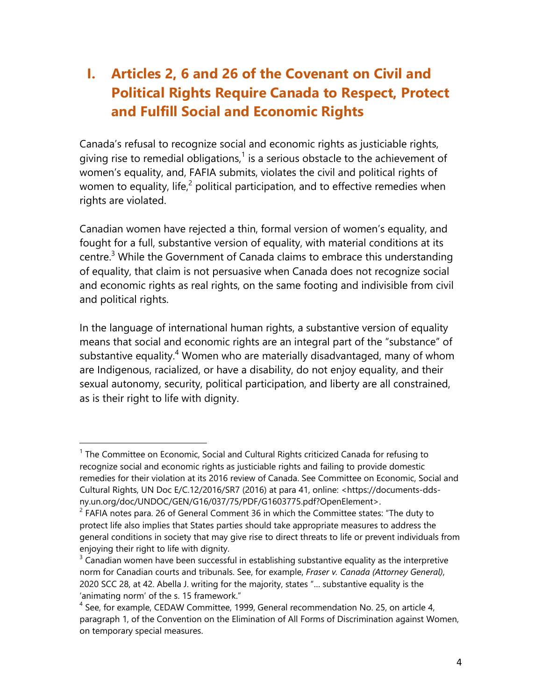# **I. Articles 2, 6 and 26 of the Covenant on Civil and Political Rights Require Canada to Respect, Protect and Fulfill Social and Economic Rights**

Canada's refusal to recognize social and economic rights as justiciable rights, giving rise to remedial obligations, $1$  is a serious obstacle to the achievement of women's equality, and, FAFIA submits, violates the civil and political rights of women to equality, life,<sup>2</sup> political participation, and to effective remedies when rights are violated.

Canadian women have rejected a thin, formal version of women's equality, and fought for a full, substantive version of equality, with material conditions at its centre.<sup>3</sup> While the Government of Canada claims to embrace this understanding of equality, that claim is not persuasive when Canada does not recognize social and economic rights as real rights, on the same footing and indivisible from civil and political rights.

In the language of international human rights, a substantive version of equality means that social and economic rights are an integral part of the "substance" of substantive equality.<sup>4</sup> Women who are materially disadvantaged, many of whom are Indigenous, racialized, or have a disability, do not enjoy equality, and their sexual autonomy, security, political participation, and liberty are all constrained, as is their right to life with dignity.

<sup>&</sup>lt;sup>1</sup> The Committee on Economic, Social and Cultural Rights criticized Canada for refusing to recognize social and economic rights as justiciable rights and failing to provide domestic remedies for their violation at its 2016 review of Canada. See Committee on Economic, Social and Cultural Rights, UN Doc E/C.12/2016/SR7 (2016) at para 41, online: <https://documents-ddsny.un.org/doc/UNDOC/GEN/G16/037/75/PDF/G1603775.pdf?OpenElement>.

 $2$  FAFIA notes para. 26 of General Comment 36 in which the Committee states: "The duty to protect life also implies that States parties should take appropriate measures to address the general conditions in society that may give rise to direct threats to life or prevent individuals from enjoying their right to life with dignity.

 $3$  Canadian women have been successful in establishing substantive equality as the interpretive norm for Canadian courts and tribunals. See, for example, *Fraser v. Canada (Attorney General)*, 2020 SCC 28, at 42. Abella J. writing for the majority, states "… substantive equality is the 'animating norm' of the s. 15 framework."

 $<sup>4</sup>$  See, for example, CEDAW Committee, 1999, General recommendation No. 25, on article 4,</sup> paragraph 1, of the Convention on the Elimination of All Forms of Discrimination against Women, on temporary special measures.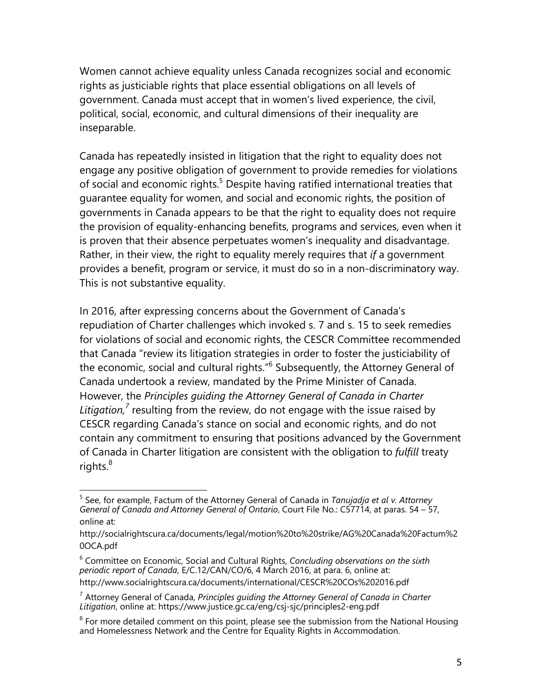Women cannot achieve equality unless Canada recognizes social and economic rights as justiciable rights that place essential obligations on all levels of government. Canada must accept that in women's lived experience, the civil, political, social, economic, and cultural dimensions of their inequality are inseparable.

Canada has repeatedly insisted in litigation that the right to equality does not engage any positive obligation of government to provide remedies for violations of social and economic rights.<sup>5</sup> Despite having ratified international treaties that guarantee equality for women, and social and economic rights, the position of governments in Canada appears to be that the right to equality does not require the provision of equality-enhancing benefits, programs and services, even when it is proven that their absence perpetuates women's inequality and disadvantage. Rather, in their view, the right to equality merely requires that *if* a government provides a benefit, program or service, it must do so in a non-discriminatory way. This is not substantive equality.

In 2016, after expressing concerns about the Government of Canada's repudiation of Charter challenges which invoked s. 7 and s. 15 to seek remedies for violations of social and economic rights, the CESCR Committee recommended that Canada "review its litigation strategies in order to foster the justiciability of the economic, social and cultural rights."<sup>6</sup> Subsequently, the Attorney General of Canada undertook a review, mandated by the Prime Minister of Canada. However, the *Principles guiding the Attorney General of Canada in Charter*  Litigation,<sup>7</sup> resulting from the review, do not engage with the issue raised by CESCR regarding Canada's stance on social and economic rights, and do not contain any commitment to ensuring that positions advanced by the Government of Canada in Charter litigation are consistent with the obligation to *fulfill* treaty rights.<sup>8</sup>

<sup>5</sup> See, for example, Factum of the Attorney General of Canada in *Tanujadja et al v. Attorney General of Canada and Attorney General of Ontario*, Court File No.: C57714, at paras. 54 – 57, online at:

http://socialrightscura.ca/documents/legal/motion%20to%20strike/AG%20Canada%20Factum%2 0OCA.pdf

<sup>6</sup> Committee on Economic, Social and Cultural Rights, *Concluding observations on the sixth periodic report of Canada*, E/C.12/CAN/CO/6, 4 March 2016, at para. 6, online at: http://www.socialrightscura.ca/documents/international/CESCR%20COs%202016.pdf

<sup>7</sup> Attorney General of Canada, *Principles guiding the Attorney General of Canada in Charter Litigation*, online at: https://www.justice.gc.ca/eng/csj-sjc/principles2-eng.pdf

 $8$  For more detailed comment on this point, please see the submission from the National Housing and Homelessness Network and the Centre for Equality Rights in Accommodation.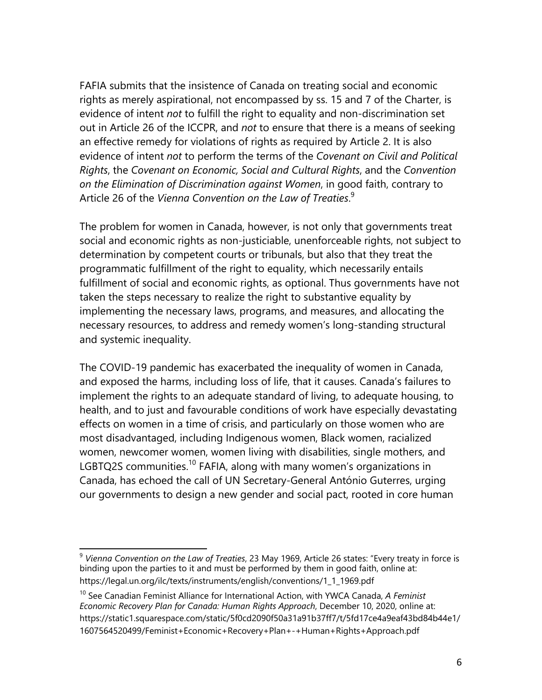FAFIA submits that the insistence of Canada on treating social and economic rights as merely aspirational, not encompassed by ss. 15 and 7 of the Charter, is evidence of intent *not* to fulfill the right to equality and non-discrimination set out in Article 26 of the ICCPR, and *not* to ensure that there is a means of seeking an effective remedy for violations of rights as required by Article 2. It is also evidence of intent *not* to perform the terms of the *Covenant on Civil and Political Rights*, the *Covenant on Economic, Social and Cultural Rights*, and the *Convention on the Elimination of Discrimination against Women*, in good faith, contrary to Article 26 of the *Vienna Convention on the Law of Treaties*. 9

The problem for women in Canada, however, is not only that governments treat social and economic rights as non-justiciable, unenforceable rights, not subject to determination by competent courts or tribunals, but also that they treat the programmatic fulfillment of the right to equality, which necessarily entails fulfillment of social and economic rights, as optional. Thus governments have not taken the steps necessary to realize the right to substantive equality by implementing the necessary laws, programs, and measures, and allocating the necessary resources, to address and remedy women's long-standing structural and systemic inequality.

The COVID-19 pandemic has exacerbated the inequality of women in Canada, and exposed the harms, including loss of life, that it causes. Canada's failures to implement the rights to an adequate standard of living, to adequate housing, to health, and to just and favourable conditions of work have especially devastating effects on women in a time of crisis, and particularly on those women who are most disadvantaged, including Indigenous women, Black women, racialized women, newcomer women, women living with disabilities, single mothers, and LGBTQ2S communities.<sup>10</sup> FAFIA, along with many women's organizations in Canada, has echoed the call of UN Secretary-General António Guterres, urging our governments to design a new gender and social pact, rooted in core human

<sup>9</sup> *Vienna Convention on the Law of Treaties*, 23 May 1969, Article 26 states: "Every treaty in force is binding upon the parties to it and must be performed by them in good faith, online at: https://legal.un.org/ilc/texts/instruments/english/conventions/1\_1\_1969.pdf

<sup>10</sup> See Canadian Feminist Alliance for International Action, with YWCA Canada, *A Feminist Economic Recovery Plan for Canada: Human Rights Approach*, December 10, 2020, online at: https://static1.squarespace.com/static/5f0cd2090f50a31a91b37ff7/t/5fd17ce4a9eaf43bd84b44e1/ 1607564520499/Feminist+Economic+Recovery+Plan+-+Human+Rights+Approach.pdf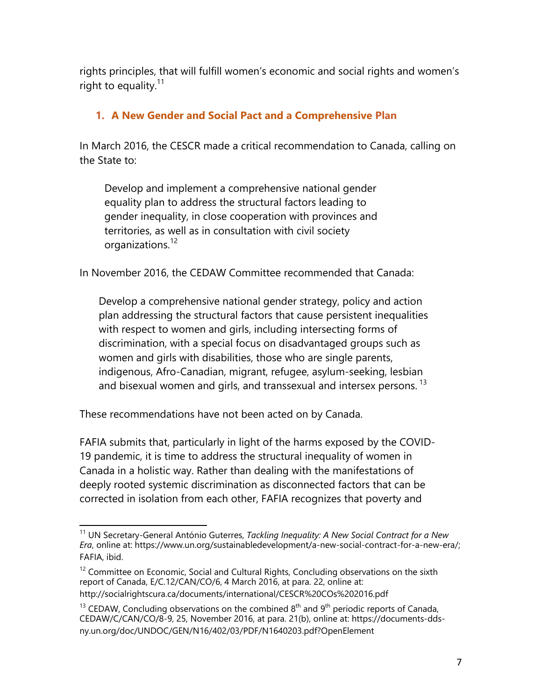rights principles, that will fulfill women's economic and social rights and women's right to equality. $11$ 

#### **1. A New Gender and Social Pact and a Comprehensive Plan**

In March 2016, the CESCR made a critical recommendation to Canada, calling on the State to:

Develop and implement a comprehensive national gender equality plan to address the structural factors leading to gender inequality, in close cooperation with provinces and territories, as well as in consultation with civil society organizations.<sup>12</sup>

In November 2016, the CEDAW Committee recommended that Canada:

Develop a comprehensive national gender strategy, policy and action plan addressing the structural factors that cause persistent inequalities with respect to women and girls, including intersecting forms of discrimination, with a special focus on disadvantaged groups such as women and girls with disabilities, those who are single parents, indigenous, Afro-Canadian, migrant, refugee, asylum-seeking, lesbian and bisexual women and girls, and transsexual and intersex persons.<sup>13</sup>

These recommendations have not been acted on by Canada.

FAFIA submits that, particularly in light of the harms exposed by the COVID-19 pandemic, it is time to address the structural inequality of women in Canada in a holistic way. Rather than dealing with the manifestations of deeply rooted systemic discrimination as disconnected factors that can be corrected in isolation from each other, FAFIA recognizes that poverty and

<sup>11</sup> UN Secretary-General António Guterres, *Tackling Inequality: A New Social Contract for a New Era*, online at: https://www.un.org/sustainabledevelopment/a-new-social-contract-for-a-new-era/; FAFIA, ibid.

 $12$  Committee on Economic, Social and Cultural Rights, Concluding observations on the sixth report of Canada, E/C.12/CAN/CO/6, 4 March 2016, at para. 22, online at: http://socialrightscura.ca/documents/international/CESCR%20COs%202016.pdf

<sup>&</sup>lt;sup>13</sup> CEDAW, Concluding observations on the combined  $8<sup>th</sup>$  and  $9<sup>th</sup>$  periodic reports of Canada, CEDAW/C/CAN/CO/8-9, 25, November 2016, at para. 21(b), online at: https://documents-ddsny.un.org/doc/UNDOC/GEN/N16/402/03/PDF/N1640203.pdf?OpenElement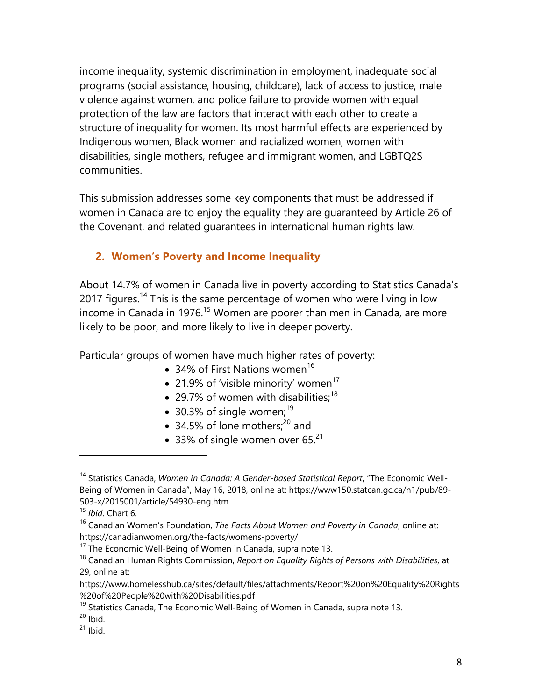income inequality, systemic discrimination in employment, inadequate social programs (social assistance, housing, childcare), lack of access to justice, male violence against women, and police failure to provide women with equal protection of the law are factors that interact with each other to create a structure of inequality for women. Its most harmful effects are experienced by Indigenous women, Black women and racialized women, women with disabilities, single mothers, refugee and immigrant women, and LGBTQ2S communities.

This submission addresses some key components that must be addressed if women in Canada are to enjoy the equality they are guaranteed by Article 26 of the Covenant, and related guarantees in international human rights law.

#### **2. Women's Poverty and Income Inequality**

About 14.7% of women in Canada live in poverty according to Statistics Canada's 2017 figures.<sup>14</sup> This is the same percentage of women who were living in low income in Canada in 1976.<sup>15</sup> Women are poorer than men in Canada, are more likely to be poor, and more likely to live in deeper poverty.

Particular groups of women have much higher rates of poverty:

- $\bullet$  34% of First Nations women<sup>16</sup>
- 21.9% of 'visible minority' women<sup>17</sup>
- 29.7% of women with disabilities;<sup>18</sup>
- $\bullet$  30.3% of single women;<sup>19</sup>
- $\bullet$  34.5% of lone mothers;<sup>20</sup> and
- $\bullet$  33% of single women over 65.<sup>21</sup>

<sup>14</sup> Statistics Canada, *Women in Canada: A Gender-based Statistical Report*, "The Economic Well-Being of Women in Canada", May 16, 2018, online at: https://www150.statcan.gc.ca/n1/pub/89- 503-x/2015001/article/54930-eng.htm

<sup>15</sup> *Ibid*. Chart 6.

<sup>16</sup> Canadian Women's Foundation, *The Facts About Women and Poverty in Canada*, online at: https://canadianwomen.org/the-facts/womens-poverty/

 $17$  The Economic Well-Being of Women in Canada, supra note 13.

<sup>18</sup> Canadian Human Rights Commission, *Report on Equality Rights of Persons with Disabilities*, at 29, online at:

https://www.homelesshub.ca/sites/default/files/attachments/Report%20on%20Equality%20Rights %20of%20People%20with%20Disabilities.pdf

<sup>&</sup>lt;sup>19</sup> Statistics Canada, The Economic Well-Being of Women in Canada, supra note 13.

 $20$  Ibid.

 $21$  Ibid.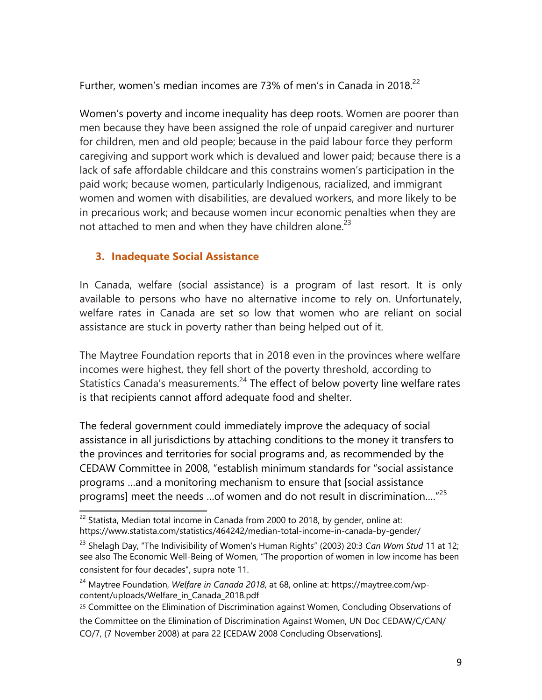Further, women's median incomes are 73% of men's in Canada in 2018.<sup>22</sup>

Women's poverty and income inequality has deep roots. Women are poorer than men because they have been assigned the role of unpaid caregiver and nurturer for children, men and old people; because in the paid labour force they perform caregiving and support work which is devalued and lower paid; because there is a lack of safe affordable childcare and this constrains women's participation in the paid work; because women, particularly Indigenous, racialized, and immigrant women and women with disabilities, are devalued workers, and more likely to be in precarious work; and because women incur economic penalties when they are not attached to men and when they have children alone.<sup>23</sup>

#### **3. Inadequate Social Assistance**

In Canada, welfare (social assistance) is a program of last resort. It is only available to persons who have no alternative income to rely on. Unfortunately, welfare rates in Canada are set so low that women who are reliant on social assistance are stuck in poverty rather than being helped out of it.

The Maytree Foundation reports that in 2018 even in the provinces where welfare incomes were highest, they fell short of the poverty threshold, according to Statistics Canada's measurements. $24$  The effect of below poverty line welfare rates is that recipients cannot afford adequate food and shelter.

The federal government could immediately improve the adequacy of social assistance in all jurisdictions by attaching conditions to the money it transfers to the provinces and territories for social programs and, as recommended by the CEDAW Committee in 2008, "establish minimum standards for "social assistance programs …and a monitoring mechanism to ensure that [social assistance programs] meet the needs …of women and do not result in discrimination…."25

 $22$  Statista, Median total income in Canada from 2000 to 2018, by gender, online at: https://www.statista.com/statistics/464242/median-total-income-in-canada-by-gender/

<sup>23</sup> Shelagh Day, "The Indivisibility of Women's Human Rights" (2003) 20:3 *Can Wom Stud* 11 at 12; see also The Economic Well-Being of Women, "The proportion of women in low income has been consistent for four decades", supra note 11.

<sup>24</sup> Maytree Foundation, *Welfare in Canada 2018*, at 68, online at: https://maytree.com/wpcontent/uploads/Welfare\_in\_Canada\_2018.pdf

<sup>25</sup> Committee on the Elimination of Discrimination against Women, Concluding Observations of the Committee on the Elimination of Discrimination Against Women, UN Doc CEDAW/C/CAN/ CO/7, (7 November 2008) at para 22 [CEDAW 2008 Concluding Observations].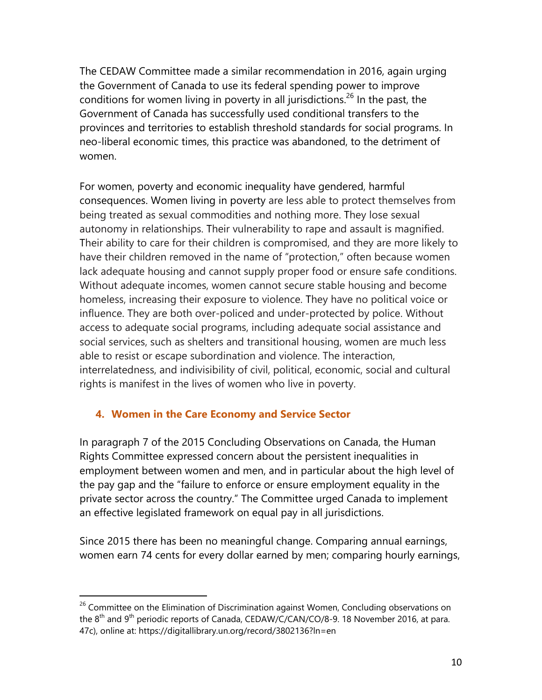The CEDAW Committee made a similar recommendation in 2016, again urging the Government of Canada to use its federal spending power to improve conditions for women living in poverty in all jurisdictions.<sup>26</sup> In the past, the Government of Canada has successfully used conditional transfers to the provinces and territories to establish threshold standards for social programs. In neo-liberal economic times, this practice was abandoned, to the detriment of women.

For women, poverty and economic inequality have gendered, harmful consequences. Women living in poverty are less able to protect themselves from being treated as sexual commodities and nothing more. They lose sexual autonomy in relationships. Their vulnerability to rape and assault is magnified. Their ability to care for their children is compromised, and they are more likely to have their children removed in the name of "protection," often because women lack adequate housing and cannot supply proper food or ensure safe conditions. Without adequate incomes, women cannot secure stable housing and become homeless, increasing their exposure to violence. They have no political voice or influence. They are both over-policed and under-protected by police. Without access to adequate social programs, including adequate social assistance and social services, such as shelters and transitional housing, women are much less able to resist or escape subordination and violence. The interaction, interrelatedness, and indivisibility of civil, political, economic, social and cultural rights is manifest in the lives of women who live in poverty.

#### **4. Women in the Care Economy and Service Sector**

In paragraph 7 of the 2015 Concluding Observations on Canada, the Human Rights Committee expressed concern about the persistent inequalities in employment between women and men, and in particular about the high level of the pay gap and the "failure to enforce or ensure employment equality in the private sector across the country." The Committee urged Canada to implement an effective legislated framework on equal pay in all jurisdictions.

Since 2015 there has been no meaningful change. Comparing annual earnings, women earn 74 cents for every dollar earned by men; comparing hourly earnings,

<sup>&</sup>lt;sup>26</sup> Committee on the Elimination of Discrimination against Women, Concluding observations on the  $8<sup>th</sup>$  and  $9<sup>th</sup>$  periodic reports of Canada, CEDAW/C/CAN/CO/8-9. 18 November 2016, at para. 47c), online at: https://digitallibrary.un.org/record/3802136?ln=en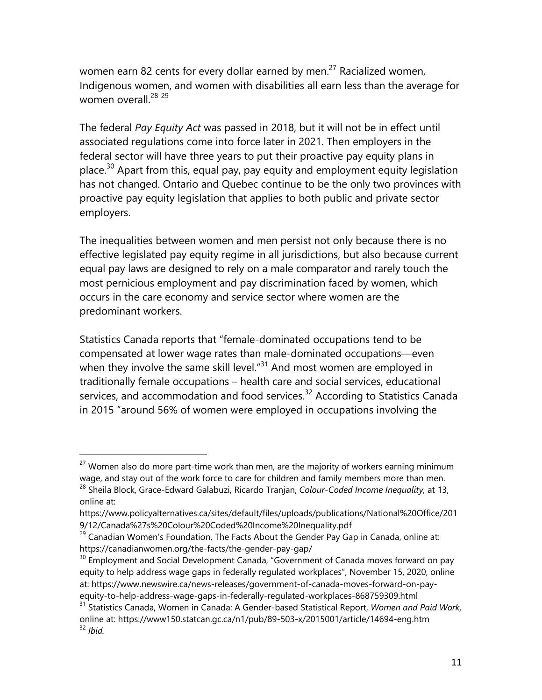women earn 82 cents for every dollar earned by men.<sup>27</sup> Racialized women, Indigenous women, and women with disabilities all earn less than the average for women overall.<sup>28</sup> <sup>29</sup>

The federal *Pay Equity Act* was passed in 2018, but it will not be in effect until associated regulations come into force later in 2021. Then employers in the federal sector will have three years to put their proactive pay equity plans in place.<sup>30</sup> Apart from this, equal pay, pay equity and employment equity legislation has not changed. Ontario and Quebec continue to be the only two provinces with proactive pay equity legislation that applies to both public and private sector employers.

The inequalities between women and men persist not only because there is no effective legislated pay equity regime in all jurisdictions, but also because current equal pay laws are designed to rely on a male comparator and rarely touch the most pernicious employment and pay discrimination faced by women, which occurs in the care economy and service sector where women are the predominant workers.

Statistics Canada reports that "female-dominated occupations tend to be compensated at lower wage rates than male-dominated occupations—even when they involve the same skill level. $n^{31}$  And most women are employed in traditionally female occupations – health care and social services, educational services, and accommodation and food services.<sup>32</sup> According to Statistics Canada in 2015 "around 56% of women were employed in occupations involving the

 $27$  Women also do more part-time work than men, are the majority of workers earning minimum wage, and stay out of the work force to care for children and family members more than men.

<sup>28</sup> Sheila Block, Grace-Edward Galabuzi, Ricardo Tranjan, *Colour-Coded Income Inequality,* at 13, online at:

https://www.policyalternatives.ca/sites/default/files/uploads/publications/National%20Office/201 9/12/Canada%27s%20Colour%20Coded%20Income%20Inequality.pdf

<sup>&</sup>lt;sup>29</sup> Canadian Women's Foundation, The Facts About the Gender Pay Gap in Canada, online at: https://canadianwomen.org/the-facts/the-gender-pay-gap/

<sup>&</sup>lt;sup>30</sup> Employment and Social Development Canada, "Government of Canada moves forward on pay equity to help address wage gaps in federally regulated workplaces", November 15, 2020, online at: https://www.newswire.ca/news-releases/government-of-canada-moves-forward-on-payequity-to-help-address-wage-gaps-in-federally-regulated-workplaces-868759309.html

<sup>31</sup> Statistics Canada, Women in Canada: A Gender-based Statistical Report, *Women and Paid Work,* online at: https://www150.statcan.gc.ca/n1/pub/89-503-x/2015001/article/14694-eng.htm <sup>32</sup> *Ibid.*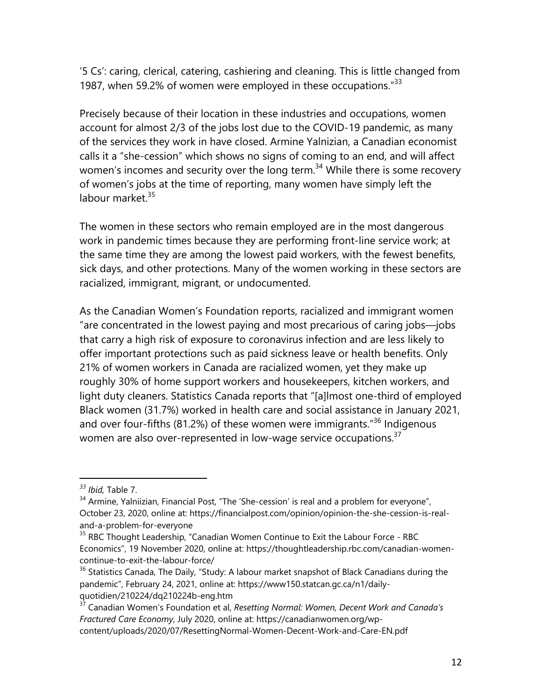'5 Cs': caring, clerical, catering, cashiering and cleaning. This is little changed from 1987, when 59.2% of women were employed in these occupations."<sup>33</sup>

Precisely because of their location in these industries and occupations, women account for almost 2/3 of the jobs lost due to the COVID-19 pandemic, as many of the services they work in have closed. Armine Yalnizian, a Canadian economist calls it a "she-cession" which shows no signs of coming to an end, and will affect women's incomes and security over the long term.<sup>34</sup> While there is some recovery of women's jobs at the time of reporting, many women have simply left the labour market.<sup>35</sup>

The women in these sectors who remain employed are in the most dangerous work in pandemic times because they are performing front-line service work; at the same time they are among the lowest paid workers, with the fewest benefits, sick days, and other protections. Many of the women working in these sectors are racialized, immigrant, migrant, or undocumented.

As the Canadian Women's Foundation reports, racialized and immigrant women "are concentrated in the lowest paying and most precarious of caring jobs—jobs that carry a high risk of exposure to coronavirus infection and are less likely to offer important protections such as paid sickness leave or health benefits. Only 21% of women workers in Canada are racialized women, yet they make up roughly 30% of home support workers and housekeepers, kitchen workers, and light duty cleaners. Statistics Canada reports that "[a]lmost one-third of employed Black women (31.7%) worked in health care and social assistance in January 2021, and over four-fifths  $(81.2%)$  of these women were immigrants.<sup>"36</sup> Indigenous women are also over-represented in low-wage service occupations.<sup>37</sup>

*<sup>33</sup> Ibid,* Table 7.

 $34$  Armine, Yalniizian, Financial Post, "The 'She-cession' is real and a problem for everyone", October 23, 2020, online at: https://financialpost.com/opinion/opinion-the-she-cession-is-realand-a-problem-for-everyone

<sup>&</sup>lt;sup>35</sup> RBC Thought Leadership, "Canadian Women Continue to Exit the Labour Force - RBC Economics", 19 November 2020, online at: https://thoughtleadership.rbc.com/canadian-womencontinue-to-exit-the-labour-force/

 $36$  Statistics Canada, The Daily, "Study: A labour market snapshot of Black Canadians during the pandemic", February 24, 2021, online at: https://www150.statcan.gc.ca/n1/dailyquotidien/210224/dq210224b-eng.htm

<sup>37</sup> Canadian Women's Foundation et al, *Resetting Normal: Women, Decent Work and Canada's Fractured Care Economy*, July 2020, online at: https://canadianwomen.org/wpcontent/uploads/2020/07/ResettingNormal-Women-Decent-Work-and-Care-EN.pdf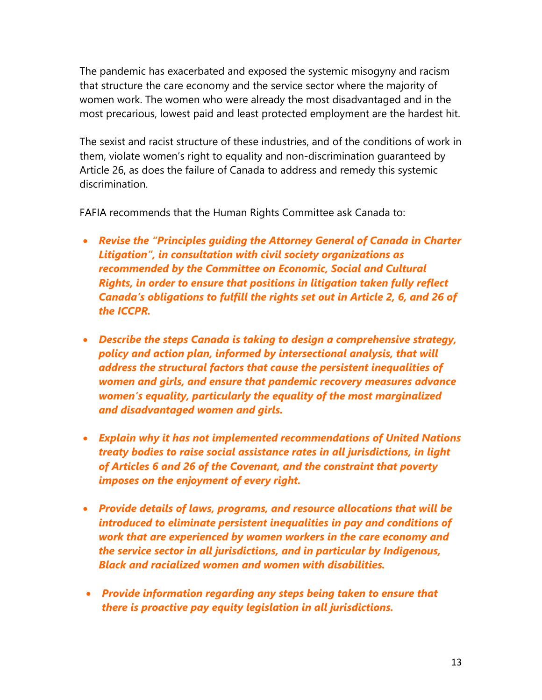The pandemic has exacerbated and exposed the systemic misogyny and racism that structure the care economy and the service sector where the majority of women work. The women who were already the most disadvantaged and in the most precarious, lowest paid and least protected employment are the hardest hit.

The sexist and racist structure of these industries, and of the conditions of work in them, violate women's right to equality and non-discrimination guaranteed by Article 26, as does the failure of Canada to address and remedy this systemic discrimination.

FAFIA recommends that the Human Rights Committee ask Canada to:

- *Revise the "Principles guiding the Attorney General of Canada in Charter Litigation", in consultation with civil society organizations as recommended by the Committee on Economic, Social and Cultural Rights, in order to ensure that positions in litigation taken fully reflect Canada's obligations to fulfill the rights set out in Article 2, 6, and 26 of the ICCPR.*
- *Describe the steps Canada is taking to design a comprehensive strategy, policy and action plan, informed by intersectional analysis, that will address the structural factors that cause the persistent inequalities of women and girls, and ensure that pandemic recovery measures advance women's equality, particularly the equality of the most marginalized and disadvantaged women and girls.*
- *Explain why it has not implemented recommendations of United Nations treaty bodies to raise social assistance rates in all jurisdictions, in light of Articles 6 and 26 of the Covenant, and the constraint that poverty imposes on the enjoyment of every right.*
- *Provide details of laws, programs, and resource allocations that will be introduced to eliminate persistent inequalities in pay and conditions of work that are experienced by women workers in the care economy and the service sector in all jurisdictions, and in particular by Indigenous, Black and racialized women and women with disabilities.*
- *Provide information regarding any steps being taken to ensure that there is proactive pay equity legislation in all jurisdictions.*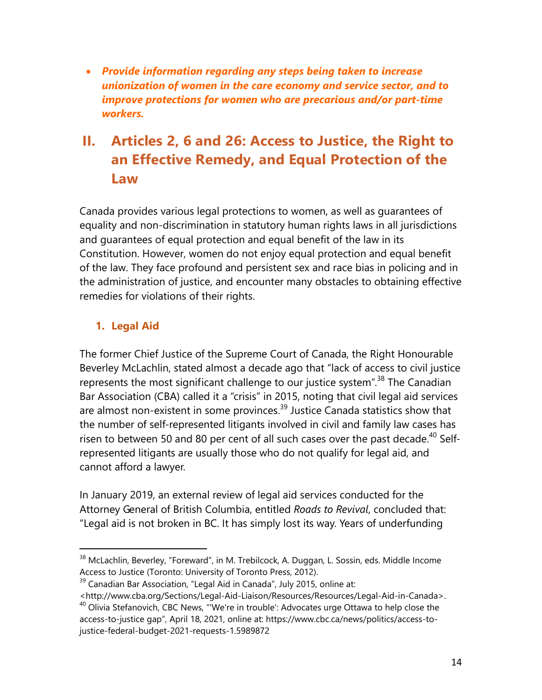*Provide information regarding any steps being taken to increase unionization of women in the care economy and service sector, and to improve protections for women who are precarious and/or part-time workers.* 

# **II. Articles 2, 6 and 26: Access to Justice, the Right to an Effective Remedy, and Equal Protection of the Law**

Canada provides various legal protections to women, as well as guarantees of equality and non-discrimination in statutory human rights laws in all jurisdictions and guarantees of equal protection and equal benefit of the law in its Constitution. However, women do not enjoy equal protection and equal benefit of the law. They face profound and persistent sex and race bias in policing and in the administration of justice, and encounter many obstacles to obtaining effective remedies for violations of their rights.

#### **1. Legal Aid**

The former Chief Justice of the Supreme Court of Canada, the Right Honourable Beverley McLachlin, stated almost a decade ago that "lack of access to civil justice represents the most significant challenge to our justice system".<sup>38</sup> The Canadian Bar Association (CBA) called it a "crisis" in 2015, noting that civil legal aid services are almost non-existent in some provinces.<sup>39</sup> Justice Canada statistics show that the number of self-represented litigants involved in civil and family law cases has risen to between 50 and 80 per cent of all such cases over the past decade.<sup>40</sup> Selfrepresented litigants are usually those who do not qualify for legal aid, and cannot afford a lawyer.

In January 2019, an external review of legal aid services conducted for the Attorney General of British Columbia, entitled *Roads to Revival*, concluded that: "Legal aid is not broken in BC. It has simply lost its way. Years of underfunding

<sup>&</sup>lt;sup>38</sup> McLachlin, Beverley, "Foreward", in M. Trebilcock, A. Duggan, L. Sossin, eds. Middle Income Access to Justice (Toronto: University of Toronto Press, 2012).

<sup>&</sup>lt;sup>39</sup> Canadian Bar Association, "Legal Aid in Canada", July 2015, online at:

<sup>&</sup>lt;http://www.cba.org/Sections/Legal-Aid-Liaison/Resources/Resources/Legal-Aid-in-Canada>.

 $40$  Olivia Stefanovich, CBC News, "'We're in trouble': Advocates urge Ottawa to help close the access-to-justice gap", April 18, 2021, online at: https://www.cbc.ca/news/politics/access-tojustice-federal-budget-2021-requests-1.5989872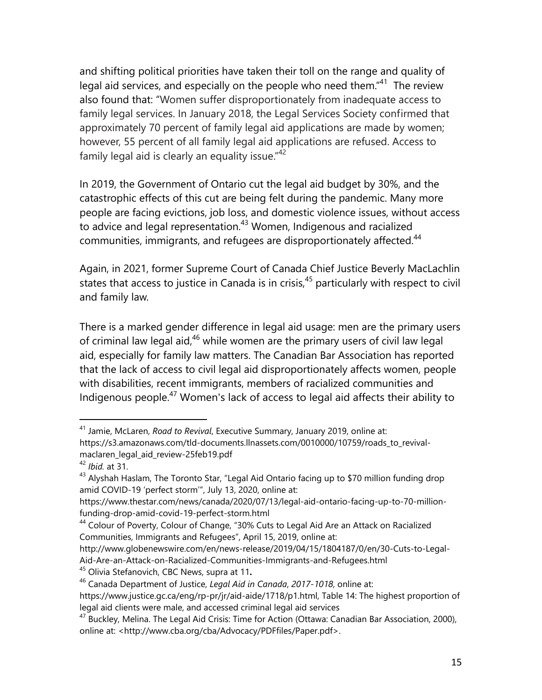and shifting political priorities have taken their toll on the range and quality of legal aid services, and especially on the people who need them."<sup>41</sup> The review also found that: "Women suffer disproportionately from inadequate access to family legal services. In January 2018, the Legal Services Society confirmed that approximately 70 percent of family legal aid applications are made by women; however, 55 percent of all family legal aid applications are refused. Access to family legal aid is clearly an equality issue."<sup>42</sup>

In 2019, the Government of Ontario cut the legal aid budget by 30%, and the catastrophic effects of this cut are being felt during the pandemic. Many more people are facing evictions, job loss, and domestic violence issues, without access to advice and legal representation.<sup>43</sup> Women, Indigenous and racialized communities, immigrants, and refugees are disproportionately affected.<sup>44</sup>

Again, in 2021, former Supreme Court of Canada Chief Justice Beverly MacLachlin states that access to justice in Canada is in crisis,<sup>45</sup> particularly with respect to civil and family law.

There is a marked gender difference in legal aid usage: men are the primary users of criminal law legal aid, $46$  while women are the primary users of civil law legal aid, especially for family law matters. The Canadian Bar Association has reported that the lack of access to civil legal aid disproportionately affects women, people with disabilities, recent immigrants, members of racialized communities and Indigenous people.47 Women's lack of access to legal aid affects their ability to

<sup>41</sup> Jamie, McLaren, *Road to Revival*, Executive Summary, January 2019, online at: https://s3.amazonaws.com/tld-documents.llnassets.com/0010000/10759/roads\_to\_revivalmaclaren\_legal\_aid\_review-25feb19.pdf

<sup>42</sup> *Ibid.* at 31.

<sup>&</sup>lt;sup>43</sup> Alyshah Haslam, The Toronto Star, "Legal Aid Ontario facing up to \$70 million funding drop amid COVID-19 'perfect storm'", July 13, 2020, online at:

https://www.thestar.com/news/canada/2020/07/13/legal-aid-ontario-facing-up-to-70-millionfunding-drop-amid-covid-19-perfect-storm.html

<sup>&</sup>lt;sup>44</sup> Colour of Poverty, Colour of Change, "30% Cuts to Legal Aid Are an Attack on Racialized Communities, Immigrants and Refugees", April 15, 2019, online at:

http://www.globenewswire.com/en/news-release/2019/04/15/1804187/0/en/30-Cuts-to-Legal-

Aid-Are-an-Attack-on-Racialized-Communities-Immigrants-and-Refugees.html

<sup>45</sup> Olivia Stefanovich, CBC News, supra at 11**.**

<sup>46</sup> Canada Department of Justice, *Legal Aid in Canada*, *2017-1018*, online at: https://www.justice.gc.ca/eng/rp-pr/jr/aid-aide/1718/p1.html, Table 14: The highest proportion of legal aid clients were male, and accessed criminal legal aid services

 $47$  Buckley, Melina. The Legal Aid Crisis: Time for Action (Ottawa: Canadian Bar Association, 2000), online at: <http://www.cba.org/cba/Advocacy/PDFfiles/Paper.pdf>.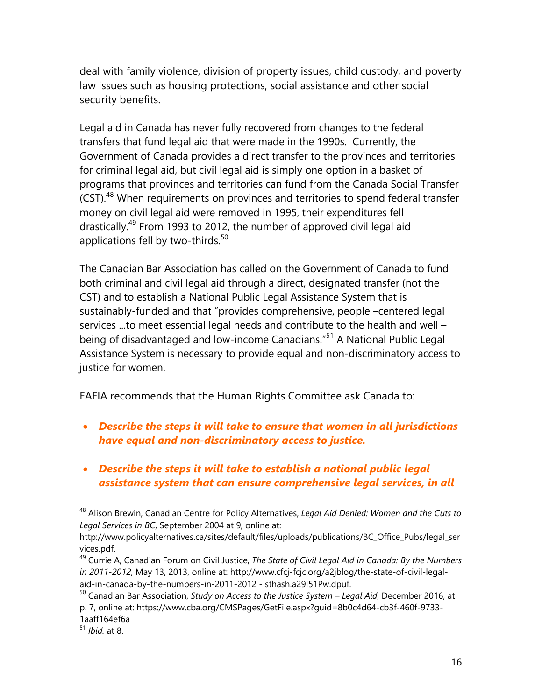deal with family violence, division of property issues, child custody, and poverty law issues such as housing protections, social assistance and other social security benefits.

Legal aid in Canada has never fully recovered from changes to the federal transfers that fund legal aid that were made in the 1990s. Currently, the Government of Canada provides a direct transfer to the provinces and territories for criminal legal aid, but civil legal aid is simply one option in a basket of programs that provinces and territories can fund from the Canada Social Transfer (CST).48 When requirements on provinces and territories to spend federal transfer money on civil legal aid were removed in 1995, their expenditures fell drastically.49 From 1993 to 2012, the number of approved civil legal aid applications fell by two-thirds.<sup>50</sup>

The Canadian Bar Association has called on the Government of Canada to fund both criminal and civil legal aid through a direct, designated transfer (not the CST) and to establish a National Public Legal Assistance System that is sustainably-funded and that "provides comprehensive, people –centered legal services ...to meet essential legal needs and contribute to the health and well – being of disadvantaged and low-income Canadians."<sup>51</sup> A National Public Legal Assistance System is necessary to provide equal and non-discriminatory access to justice for women.

FAFIA recommends that the Human Rights Committee ask Canada to:

- *Describe the steps it will take to ensure that women in all jurisdictions have equal and non-discriminatory access to justice.*
- *Describe the steps it will take to establish a national public legal assistance system that can ensure comprehensive legal services, in all*

<sup>48</sup> Alison Brewin, Canadian Centre for Policy Alternatives, *Legal Aid Denied: Women and the Cuts to Legal Services in BC*, September 2004 at 9, online at:

http://www.policyalternatives.ca/sites/default/files/uploads/publications/BC\_Office\_Pubs/legal\_ser vices.pdf.

<sup>49</sup> Currie A, Canadian Forum on Civil Justice, *The State of Civil Legal Aid in Canada: By the Numbers in 2011-2012*, May 13, 2013, online at: http://www.cfcj-fcjc.org/a2jblog/the-state-of-civil-legalaid-in-canada-by-the-numbers-in-2011-2012 - sthash.a29I51Pw.dpuf.

<sup>50</sup> Canadian Bar Association, *Study on Access to the Justice System – Legal Aid*, December 2016, at p. 7, online at: https://www.cba.org/CMSPages/GetFile.aspx?guid=8b0c4d64-cb3f-460f-9733- 1aaff164ef6a

<sup>51</sup> *Ibid.* at 8.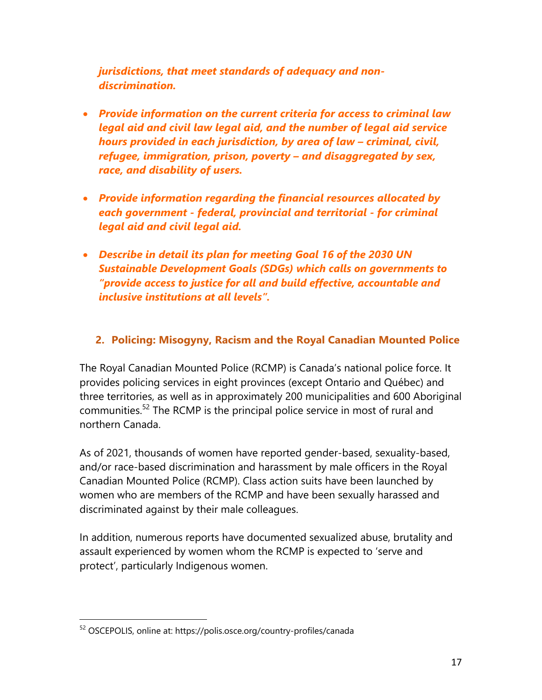*jurisdictions, that meet standards of adequacy and nondiscrimination.* 

- *Provide information on the current criteria for access to criminal law legal aid and civil law legal aid, and the number of legal aid service hours provided in each jurisdiction, by area of law – criminal, civil, refugee, immigration, prison, poverty – and disaggregated by sex, race, and disability of users.*
- *Provide information regarding the financial resources allocated by each government - federal, provincial and territorial - for criminal legal aid and civil legal aid.*
- *Describe in detail its plan for meeting Goal 16 of the 2030 UN Sustainable Development Goals (SDGs) which calls on governments to "provide access to justice for all and build effective, accountable and inclusive institutions at all levels".*

#### **2. Policing: Misogyny, Racism and the Royal Canadian Mounted Police**

The Royal Canadian Mounted Police (RCMP) is Canada's national police force. It provides policing services in eight provinces (except Ontario and Québec) and three territories, as well as in approximately 200 municipalities and 600 Aboriginal communities.52 The RCMP is the principal police service in most of rural and northern Canada.

As of 2021, thousands of women have reported gender-based, sexuality-based, and/or race-based discrimination and harassment by male officers in the Royal Canadian Mounted Police (RCMP). Class action suits have been launched by women who are members of the RCMP and have been sexually harassed and discriminated against by their male colleagues.

In addition, numerous reports have documented sexualized abuse, brutality and assault experienced by women whom the RCMP is expected to 'serve and protect', particularly Indigenous women.

<sup>52</sup> OSCEPOLIS, online at: https://polis.osce.org/country-profiles/canada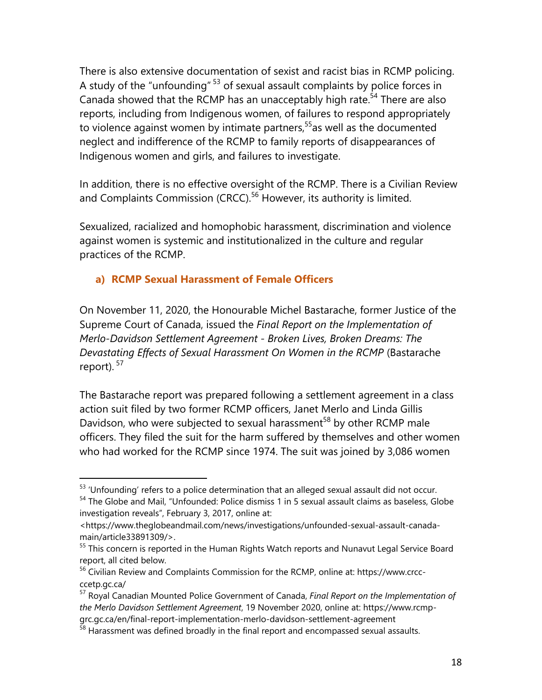There is also extensive documentation of sexist and racist bias in RCMP policing. A study of the "unfounding" 53 of sexual assault complaints by police forces in Canada showed that the RCMP has an unacceptably high rate.<sup>54</sup> There are also reports, including from Indigenous women, of failures to respond appropriately to violence against women by intimate partners,<sup>55</sup>as well as the documented neglect and indifference of the RCMP to family reports of disappearances of Indigenous women and girls, and failures to investigate.

In addition, there is no effective oversight of the RCMP. There is a Civilian Review and Complaints Commission (CRCC).<sup>56</sup> However, its authority is limited.

Sexualized, racialized and homophobic harassment, discrimination and violence against women is systemic and institutionalized in the culture and regular practices of the RCMP.

#### **a) RCMP Sexual Harassment of Female Officers**

On November 11, 2020, the Honourable Michel Bastarache, former Justice of the Supreme Court of Canada, issued the *Final Report on the Implementation of Merlo-Davidson Settlement Agreement - Broken Lives, Broken Dreams: The Devastating Effects of Sexual Harassment On Women in the RCMP* (Bastarache report). 57

The Bastarache report was prepared following a settlement agreement in a class action suit filed by two former RCMP officers, Janet Merlo and Linda Gillis Davidson, who were subjected to sexual harassment<sup>58</sup> by other RCMP male officers. They filed the suit for the harm suffered by themselves and other women who had worked for the RCMP since 1974. The suit was joined by 3,086 women

 $53$  'Unfounding' refers to a police determination that an alleged sexual assault did not occur.

<sup>&</sup>lt;sup>54</sup> The Globe and Mail, "Unfounded: Police dismiss 1 in 5 sexual assault claims as baseless, Globe investigation reveals", February 3, 2017, online at:

<sup>&</sup>lt;https://www.theglobeandmail.com/news/investigations/unfounded-sexual-assault-canadamain/article33891309/>.

<sup>&</sup>lt;sup>55</sup> This concern is reported in the Human Rights Watch reports and Nunavut Legal Service Board report, all cited below.

<sup>56</sup> Civilian Review and Complaints Commission for the RCMP, online at: https://www.crccccetp.gc.ca/

<sup>57</sup> Royal Canadian Mounted Police Government of Canada, *Final Report on the Implementation of the Merlo Davidson Settlement Agreement*, 19 November 2020, online at: https://www.rcmpgrc.gc.ca/en/final-report-implementation-merlo-davidson-settlement-agreement

 $58$  Harassment was defined broadly in the final report and encompassed sexual assaults.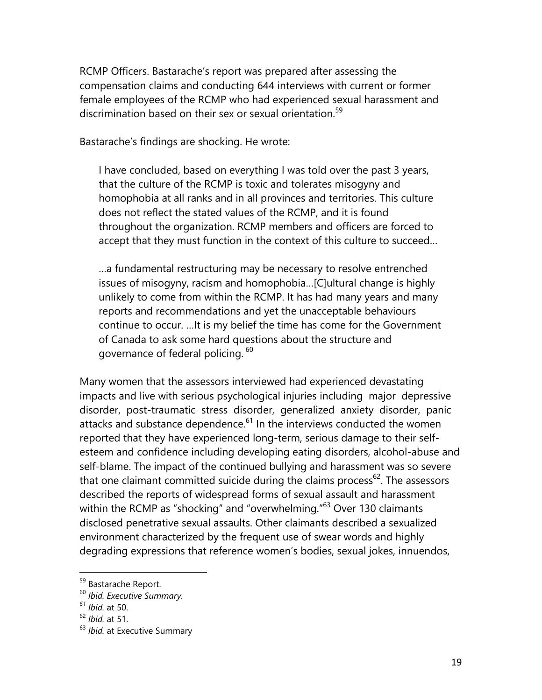RCMP Officers. Bastarache's report was prepared after assessing the compensation claims and conducting 644 interviews with current or former female employees of the RCMP who had experienced sexual harassment and discrimination based on their sex or sexual orientation.<sup>59</sup>

Bastarache's findings are shocking. He wrote:

I have concluded, based on everything I was told over the past 3 years, that the culture of the RCMP is toxic and tolerates misogyny and homophobia at all ranks and in all provinces and territories. This culture does not reflect the stated values of the RCMP, and it is found throughout the organization. RCMP members and officers are forced to accept that they must function in the context of this culture to succeed…

…a fundamental restructuring may be necessary to resolve entrenched issues of misogyny, racism and homophobia…[C]ultural change is highly unlikely to come from within the RCMP. It has had many years and many reports and recommendations and yet the unacceptable behaviours continue to occur. …It is my belief the time has come for the Government of Canada to ask some hard questions about the structure and governance of federal policing. 60

Many women that the assessors interviewed had experienced devastating impacts and live with serious psychological injuries including major depressive disorder, post-traumatic stress disorder, generalized anxiety disorder, panic attacks and substance dependence. $61$  In the interviews conducted the women reported that they have experienced long-term, serious damage to their selfesteem and confidence including developing eating disorders, alcohol-abuse and self-blame. The impact of the continued bullying and harassment was so severe that one claimant committed suicide during the claims process<sup>62</sup>. The assessors described the reports of widespread forms of sexual assault and harassment within the RCMP as "shocking" and "overwhelming."<sup>63</sup> Over 130 claimants disclosed penetrative sexual assaults. Other claimants described a sexualized environment characterized by the frequent use of swear words and highly degrading expressions that reference women's bodies, sexual jokes, innuendos,

<sup>59</sup> Bastarache Report.

<sup>60</sup> *Ibid. Executive Summary.* 

*<sup>61</sup> Ibid.* at 50.

<sup>62</sup> *Ibid.* at 51.

<sup>63</sup> *Ibid.* at Executive Summary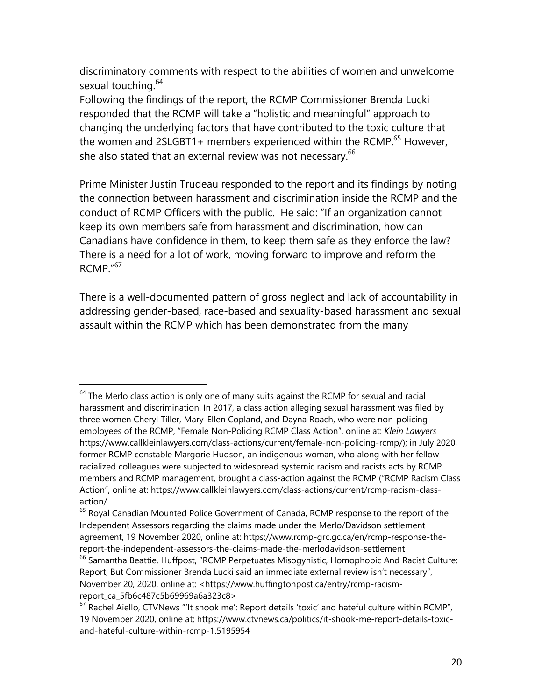discriminatory comments with respect to the abilities of women and unwelcome sexual touching.<sup>64</sup>

Following the findings of the report, the RCMP Commissioner Brenda Lucki responded that the RCMP will take a "holistic and meaningful" approach to changing the underlying factors that have contributed to the toxic culture that the women and 2SLGBT1+ members experienced within the RCMP. $65$  However, she also stated that an external review was not necessary.<sup>66</sup>

Prime Minister Justin Trudeau responded to the report and its findings by noting the connection between harassment and discrimination inside the RCMP and the conduct of RCMP Officers with the public. He said: "If an organization cannot keep its own members safe from harassment and discrimination, how can Canadians have confidence in them, to keep them safe as they enforce the law? There is a need for a lot of work, moving forward to improve and reform the RCMP."67

There is a well-documented pattern of gross neglect and lack of accountability in addressing gender-based, race-based and sexuality-based harassment and sexual assault within the RCMP which has been demonstrated from the many

 $64$  The Merlo class action is only one of many suits against the RCMP for sexual and racial harassment and discrimination. In 2017, a class action alleging sexual harassment was filed by three women Cheryl Tiller, Mary-Ellen Copland, and Dayna Roach, who were non-policing employees of the RCMP, "Female Non-Policing RCMP Class Action", online at: *Klein Lawyers* https://www.callkleinlawyers.com/class-actions/current/female-non-policing-rcmp/); in July 2020, former RCMP constable Margorie Hudson, an indigenous woman, who along with her fellow racialized colleagues were subjected to widespread systemic racism and racists acts by RCMP members and RCMP management, brought a class-action against the RCMP ("RCMP Racism Class Action", online at: https://www.callkleinlawyers.com/class-actions/current/rcmp-racism-classaction/

 $65$  Royal Canadian Mounted Police Government of Canada, RCMP response to the report of the Independent Assessors regarding the claims made under the Merlo/Davidson settlement agreement, 19 November 2020, online at: https://www.rcmp-grc.gc.ca/en/rcmp-response-thereport-the-independent-assessors-the-claims-made-the-merlodavidson-settlement

 $66$  Samantha Beattie, Huffpost, "RCMP Perpetuates Misogynistic, Homophobic And Racist Culture: Report, But Commissioner Brenda Lucki said an immediate external review isn't necessary", November 20, 2020, online at: <https://www.huffingtonpost.ca/entry/rcmp-racismreport\_ca\_5fb6c487c5b69969a6a323c8>

 $67$  Rachel Aiello, CTVNews "'It shook me': Report details 'toxic' and hateful culture within RCMP", 19 November 2020, online at: https://www.ctvnews.ca/politics/it-shook-me-report-details-toxicand-hateful-culture-within-rcmp-1.5195954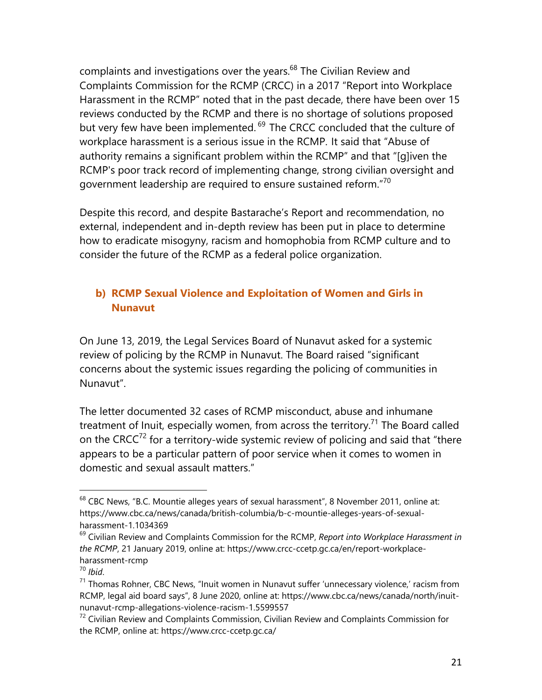complaints and investigations over the years.<sup>68</sup> The Civilian Review and Complaints Commission for the RCMP (CRCC) in a 2017 "Report into Workplace Harassment in the RCMP" noted that in the past decade, there have been over 15 reviews conducted by the RCMP and there is no shortage of solutions proposed but very few have been implemented. <sup>69</sup> The CRCC concluded that the culture of workplace harassment is a serious issue in the RCMP. It said that "Abuse of authority remains a significant problem within the RCMP" and that "[g]iven the RCMP's poor track record of implementing change, strong civilian oversight and government leadership are required to ensure sustained reform."70

Despite this record, and despite Bastarache's Report and recommendation, no external, independent and in-depth review has been put in place to determine how to eradicate misogyny, racism and homophobia from RCMP culture and to consider the future of the RCMP as a federal police organization.

#### **b) RCMP Sexual Violence and Exploitation of Women and Girls in Nunavut**

On June 13, 2019, the Legal Services Board of Nunavut asked for a systemic review of policing by the RCMP in Nunavut. The Board raised "significant concerns about the systemic issues regarding the policing of communities in Nunavut".

The letter documented 32 cases of RCMP misconduct, abuse and inhumane treatment of Inuit, especially women, from across the territory.<sup>71</sup> The Board called on the CRCC $^{72}$  for a territory-wide systemic review of policing and said that "there appears to be a particular pattern of poor service when it comes to women in domestic and sexual assault matters."

<sup>&</sup>lt;sup>68</sup> CBC News, "B.C. Mountie alleges years of sexual harassment", 8 November 2011, online at: https://www.cbc.ca/news/canada/british-columbia/b-c-mountie-alleges-years-of-sexualharassment-1.1034369

<sup>69</sup> Civilian Review and Complaints Commission for the RCMP, *Report into Workplace Harassment in the RCMP*, 21 January 2019, online at: https://www.crcc-ccetp.gc.ca/en/report-workplaceharassment-rcmp

<sup>&</sup>lt;sup>70</sup> *Ibid.*<br><sup>71</sup> Thomas Rohner, CBC News, "Inuit women in Nunavut suffer 'unnecessary violence,' racism from RCMP, legal aid board says", 8 June 2020, online at: https://www.cbc.ca/news/canada/north/inuitnunavut-rcmp-allegations-violence-racism-1.5599557

 $72$  Civilian Review and Complaints Commission, Civilian Review and Complaints Commission for the RCMP, online at: https://www.crcc-ccetp.gc.ca/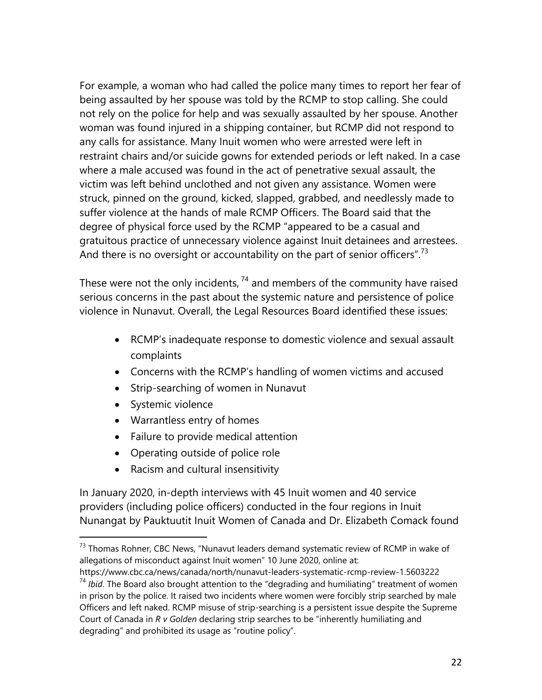For example, a woman who had called the police many times to report her fear of being assaulted by her spouse was told by the RCMP to stop calling. She could not rely on the police for help and was sexually assaulted by her spouse. Another woman was found injured in a shipping container, but RCMP did not respond to any calls for assistance. Many Inuit women who were arrested were left in restraint chairs and/or suicide gowns for extended periods or left naked. In a case where a male accused was found in the act of penetrative sexual assault, the victim was left behind unclothed and not given any assistance. Women were struck, pinned on the ground, kicked, slapped, grabbed, and needlessly made to suffer violence at the hands of male RCMP Officers. The Board said that the degree of physical force used by the RCMP "appeared to be a casual and gratuitous practice of unnecessary violence against Inuit detainees and arrestees. And there is no oversight or accountability on the part of senior officers".<sup>73</sup>

These were not the only incidents,  $74$  and members of the community have raised serious concerns in the past about the systemic nature and persistence of police violence in Nunavut. Overall, the Legal Resources Board identified these issues:

- RCMP's inadequate response to domestic violence and sexual assault complaints
- Concerns with the RCMP's handling of women victims and accused
- Strip-searching of women in Nunavut
- Systemic violence

- Warrantless entry of homes
- Failure to provide medical attention
- Operating outside of police role
- Racism and cultural insensitivity

In January 2020, in-depth interviews with 45 Inuit women and 40 service providers (including police officers) conducted in the four regions in Inuit Nunangat by Pauktuutit Inuit Women of Canada and Dr. Elizabeth Comack found

 $73$  Thomas Rohner, CBC News, "Nunavut leaders demand systematic review of RCMP in wake of allegations of misconduct against Inuit women" 10 June 2020, online at:

https://www.cbc.ca/news/canada/north/nunavut-leaders-systematic-rcmp-review-1.5603222

<sup>&</sup>lt;sup>74</sup> *Ibid*. The Board also brought attention to the "degrading and humiliating" treatment of women in prison by the police. It raised two incidents where women were forcibly strip searched by male Officers and left naked. RCMP misuse of strip-searching is a persistent issue despite the Supreme Court of Canada in *R v Golden* declaring strip searches to be "inherently humiliating and degrading" and prohibited its usage as "routine policy".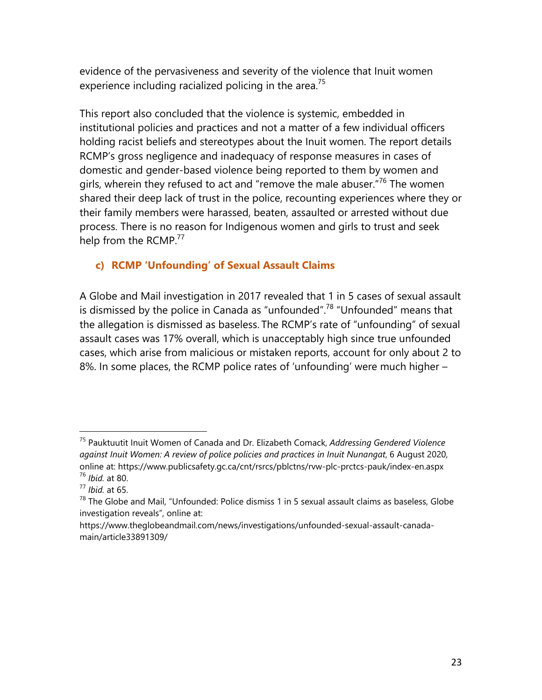evidence of the pervasiveness and severity of the violence that Inuit women experience including racialized policing in the area.<sup>75</sup>

This report also concluded that the violence is systemic, embedded in institutional policies and practices and not a matter of a few individual officers holding racist beliefs and stereotypes about the Inuit women. The report details RCMP's gross negligence and inadequacy of response measures in cases of domestic and gender-based violence being reported to them by women and girls, wherein they refused to act and "remove the male abuser."<sup>76</sup> The women shared their deep lack of trust in the police, recounting experiences where they or their family members were harassed, beaten, assaulted or arrested without due process. There is no reason for Indigenous women and girls to trust and seek help from the RCMP.<sup>77</sup>

#### **c) RCMP 'Unfounding' of Sexual Assault Claims**

A Globe and Mail investigation in 2017 revealed that 1 in 5 cases of sexual assault is dismissed by the police in Canada as "unfounded".<sup>78</sup> "Unfounded" means that the allegation is dismissed as baseless. The RCMP's rate of "unfounding" of sexual assault cases was 17% overall, which is unacceptably high since true unfounded cases, which arise from malicious or mistaken reports, account for only about 2 to 8%. In some places, the RCMP police rates of 'unfounding' were much higher –

<sup>75</sup> Pauktuutit Inuit Women of Canada and Dr. Elizabeth Comack, *Addressing Gendered Violence against Inuit Women: A review of police policies and practices in Inuit Nunangat*, 6 August 2020, online at: https://www.publicsafety.gc.ca/cnt/rsrcs/pblctns/rvw-plc-prctcs-pauk/index-en.aspx <sup>76</sup> *Ibid.* at 80.

<sup>77</sup> *Ibid.* at 65.

 $78$  The Globe and Mail, "Unfounded: Police dismiss 1 in 5 sexual assault claims as baseless, Globe investigation reveals", online at:

https://www.theglobeandmail.com/news/investigations/unfounded-sexual-assault-canadamain/article33891309/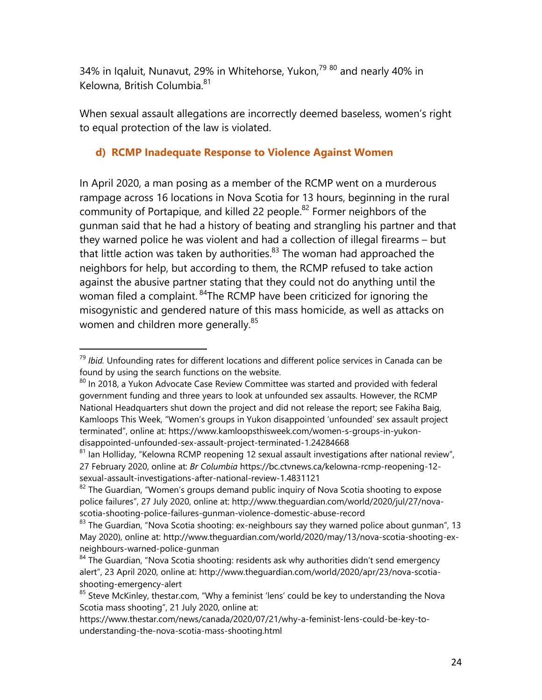34% in Iqaluit, Nunavut, 29% in Whitehorse, Yukon,<sup>79 80</sup> and nearly 40% in Kelowna, British Columbia.<sup>81</sup>

When sexual assault allegations are incorrectly deemed baseless, women's right to equal protection of the law is violated.

#### **d) RCMP Inadequate Response to Violence Against Women**

In April 2020, a man posing as a member of the RCMP went on a murderous rampage across 16 locations in Nova Scotia for 13 hours, beginning in the rural community of Portapique, and killed 22 people.<sup>82</sup> Former neighbors of the gunman said that he had a history of beating and strangling his partner and that they warned police he was violent and had a collection of illegal firearms – but that little action was taken by authorities. $83$  The woman had approached the neighbors for help, but according to them, the RCMP refused to take action against the abusive partner stating that they could not do anything until the woman filed a complaint. <sup>84</sup>The RCMP have been criticized for ignoring the misogynistic and gendered nature of this mass homicide, as well as attacks on women and children more generally.<sup>85</sup>

<sup>79</sup> *Ibid.* Unfounding rates for different locations and different police services in Canada can be found by using the search functions on the website.

<sup>&</sup>lt;sup>80</sup> In 2018, a Yukon Advocate Case Review Committee was started and provided with federal government funding and three years to look at unfounded sex assaults. However, the RCMP National Headquarters shut down the project and did not release the report; see Fakiha Baig, Kamloops This Week, "Women's groups in Yukon disappointed 'unfounded' sex assault project terminated", online at: https://www.kamloopsthisweek.com/women-s-groups-in-yukondisappointed-unfounded-sex-assault-project-terminated-1.24284668

 $81$  Ian Holliday, "Kelowna RCMP reopening 12 sexual assault investigations after national review", 27 February 2020, online at: *Br Columbia* https://bc.ctvnews.ca/kelowna-rcmp-reopening-12 sexual-assault-investigations-after-national-review-1.4831121

<sup>&</sup>lt;sup>82</sup> The Guardian, "Women's groups demand public inquiry of Nova Scotia shooting to expose police failures", 27 July 2020, online at: http://www.theguardian.com/world/2020/jul/27/novascotia-shooting-police-failures-gunman-violence-domestic-abuse-record

 $83$  The Guardian, "Nova Scotia shooting: ex-neighbours say they warned police about gunman", 13 May 2020), online at: http://www.theguardian.com/world/2020/may/13/nova-scotia-shooting-exneighbours-warned-police-gunman

 $84$  The Guardian, "Nova Scotia shooting: residents ask why authorities didn't send emergency alert", 23 April 2020, online at: http://www.theguardian.com/world/2020/apr/23/nova-scotiashooting-emergency-alert

 $85$  Steve McKinley, thestar.com, "Why a feminist 'lens' could be key to understanding the Nova Scotia mass shooting", 21 July 2020, online at:

https://www.thestar.com/news/canada/2020/07/21/why-a-feminist-lens-could-be-key-tounderstanding-the-nova-scotia-mass-shooting.html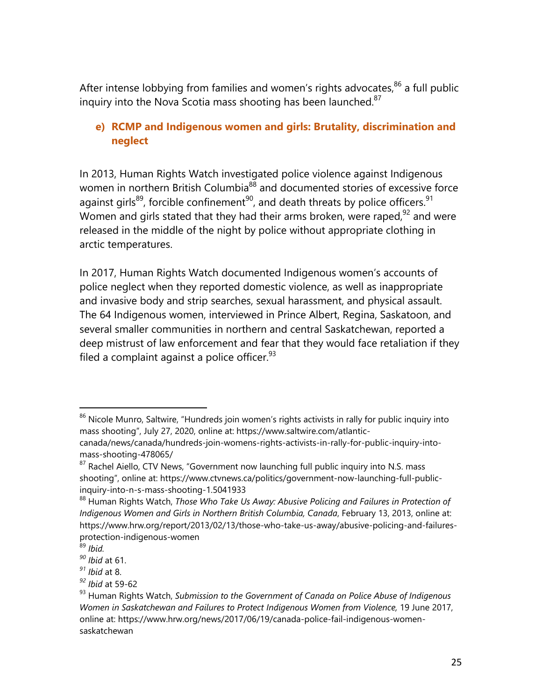After intense lobbying from families and women's rights advocates, $86$  a full public inquiry into the Nova Scotia mass shooting has been launched. $87$ 

#### **e) RCMP and Indigenous women and girls: Brutality, discrimination and neglect**

In 2013, Human Rights Watch investigated police violence against Indigenous women in northern British Columbia $^{88}$  and documented stories of excessive force against girls<sup>89</sup>, forcible confinement<sup>90</sup>, and death threats by police officers.<sup>91</sup> Women and girls stated that they had their arms broken, were raped,  $92$  and were released in the middle of the night by police without appropriate clothing in arctic temperatures.

In 2017, Human Rights Watch documented Indigenous women's accounts of police neglect when they reported domestic violence, as well as inappropriate and invasive body and strip searches, sexual harassment, and physical assault. The 64 Indigenous women, interviewed in Prince Albert, Regina, Saskatoon, and several smaller communities in northern and central Saskatchewan, reported a deep mistrust of law enforcement and fear that they would face retaliation if they filed a complaint against a police officer. $93$ 

 $^{86}$  Nicole Munro, Saltwire, "Hundreds join women's rights activists in rally for public inquiry into mass shooting", July 27, 2020, online at: https://www.saltwire.com/atlantic-

canada/news/canada/hundreds-join-womens-rights-activists-in-rally-for-public-inquiry-intomass-shooting-478065/

<sup>&</sup>lt;sup>87</sup> Rachel Aiello, CTV News, "Government now launching full public inquiry into N.S. mass shooting", online at: https://www.ctvnews.ca/politics/government-now-launching-full-publicinquiry-into-n-s-mass-shooting-1.5041933

<sup>88</sup> Human Rights Watch, *Those Who Take Us Away: Abusive Policing and Failures in Protection of Indigenous Women and Girls in Northern British Columbia, Canada*, February 13, 2013, online at: https://www.hrw.org/report/2013/02/13/those-who-take-us-away/abusive-policing-and-failuresprotection-indigenous-women

<sup>89</sup> *Ibid.* 

*<sup>90</sup> Ibid* at 61.

*<sup>91</sup> Ibid* at 8.

*<sup>92</sup> Ibid* at 59-62

<sup>93</sup> Human Rights Watch, *Submission to the Government of Canada on Police Abuse of Indigenous Women in Saskatchewan and Failures to Protect Indigenous Women from Violence,* 19 June 2017, online at: https://www.hrw.org/news/2017/06/19/canada-police-fail-indigenous-womensaskatchewan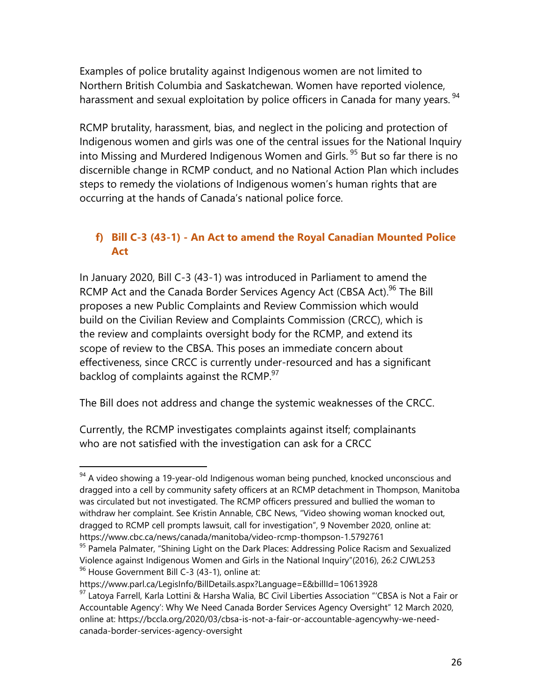Examples of police brutality against Indigenous women are not limited to Northern British Columbia and Saskatchewan. Women have reported violence, harassment and sexual exploitation by police officers in Canada for many years.<sup>94</sup>

RCMP brutality, harassment, bias, and neglect in the policing and protection of Indigenous women and girls was one of the central issues for the National Inquiry into Missing and Murdered Indigenous Women and Girls.<sup>95</sup> But so far there is no discernible change in RCMP conduct, and no National Action Plan which includes steps to remedy the violations of Indigenous women's human rights that are occurring at the hands of Canada's national police force.

#### **f) Bill C-3 (43-1) - An Act to amend the Royal Canadian Mounted Police Act**

In January 2020, Bill C-3 (43-1) was introduced in Parliament to amend the RCMP Act and the Canada Border Services Agency Act (CBSA Act).<sup>96</sup> The Bill proposes a new Public Complaints and Review Commission which would build on the Civilian Review and Complaints Commission (CRCC), which is the review and complaints oversight body for the RCMP, and extend its scope of review to the CBSA. This poses an immediate concern about effectiveness, since CRCC is currently under-resourced and has a significant backlog of complaints against the RCMP.<sup>97</sup>

The Bill does not address and change the systemic weaknesses of the CRCC.

Currently, the RCMP investigates complaints against itself; complainants who are not satisfied with the investigation can ask for a CRCC

 $94$  A video showing a 19-year-old Indigenous woman being punched, knocked unconscious and dragged into a cell by community safety officers at an RCMP detachment in Thompson, Manitoba was circulated but not investigated. The RCMP officers pressured and bullied the woman to withdraw her complaint. See Kristin Annable, CBC News, "Video showing woman knocked out, dragged to RCMP cell prompts lawsuit, call for investigation", 9 November 2020, online at: https://www.cbc.ca/news/canada/manitoba/video-rcmp-thompson-1.5792761

<sup>&</sup>lt;sup>95</sup> Pamela Palmater, "Shining Light on the Dark Places: Addressing Police Racism and Sexualized Violence against Indigenous Women and Girls in the National Inquiry"(2016), 26:2 CJWL253 96 House Government Bill C-3 (43-1), online at:

https://www.parl.ca/LegisInfo/BillDetails.aspx?Language=E&billId=10613928

<sup>&</sup>lt;sup>97</sup> Latoya Farrell, Karla Lottini & Harsha Walia, BC Civil Liberties Association "'CBSA is Not a Fair or Accountable Agency': Why We Need Canada Border Services Agency Oversight" 12 March 2020, online at: https://bccla.org/2020/03/cbsa-is-not-a-fair-or-accountable-agencywhy-we-needcanada-border-services-agency-oversight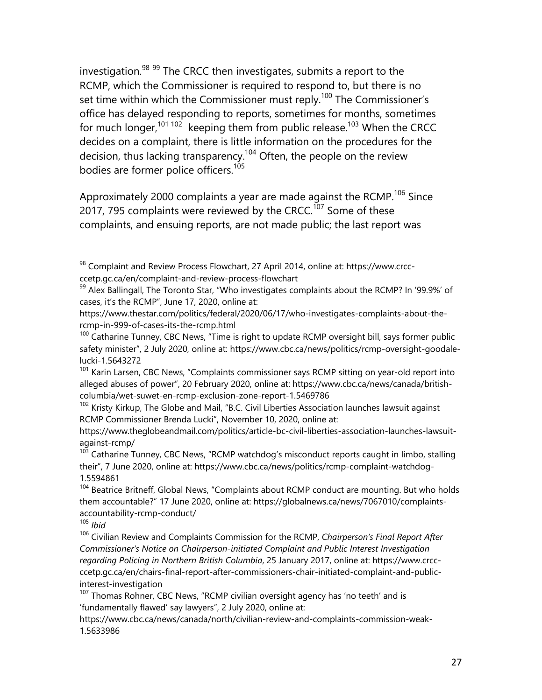investigation.<sup>98</sup> 99 The CRCC then investigates, submits a report to the RCMP, which the Commissioner is required to respond to, but there is no set time within which the Commissioner must reply.<sup>100</sup> The Commissioner's office has delayed responding to reports, sometimes for months, sometimes for much longer,<sup>101 102</sup> keeping them from public release.<sup>103</sup> When the CRCC decides on a complaint, there is little information on the procedures for the decision, thus lacking transparency.<sup>104</sup> Often, the people on the review bodies are former police officers.<sup>105</sup>

Approximately 2000 complaints a year are made against the RCMP.<sup>106</sup> Since 2017, 795 complaints were reviewed by the CRCC.<sup>107</sup> Some of these complaints, and ensuing reports, are not made public; the last report was

https://www.theglobeandmail.com/politics/article-bc-civil-liberties-association-launches-lawsuitagainst-rcmp/

<sup>98</sup> Complaint and Review Process Flowchart, 27 April 2014, online at: https://www.crccccetp.gc.ca/en/complaint-and-review-process-flowchart

<sup>&</sup>lt;sup>99</sup> Alex Ballingall, The Toronto Star, "Who investigates complaints about the RCMP? In '99.9%' of cases, it's the RCMP", June 17, 2020, online at:

https://www.thestar.com/politics/federal/2020/06/17/who-investigates-complaints-about-thercmp-in-999-of-cases-its-the-rcmp.html

 $100$  Catharine Tunney, CBC News, "Time is right to update RCMP oversight bill, says former public safety minister", 2 July 2020, online at: https://www.cbc.ca/news/politics/rcmp-oversight-goodalelucki-1.5643272

<sup>&</sup>lt;sup>101</sup> Karin Larsen, CBC News, "Complaints commissioner says RCMP sitting on year-old report into alleged abuses of power", 20 February 2020, online at: https://www.cbc.ca/news/canada/britishcolumbia/wet-suwet-en-rcmp-exclusion-zone-report-1.5469786

 $102$  Kristy Kirkup, The Globe and Mail, "B.C. Civil Liberties Association launches lawsuit against RCMP Commissioner Brenda Lucki", November 10, 2020, online at:

 $103$  Catharine Tunney, CBC News, "RCMP watchdog's misconduct reports caught in limbo, stalling their", 7 June 2020, online at: https://www.cbc.ca/news/politics/rcmp-complaint-watchdog-1.5594861

<sup>&</sup>lt;sup>104</sup> Beatrice Britneff, Global News, "Complaints about RCMP conduct are mounting. But who holds them accountable?" 17 June 2020, online at: https://globalnews.ca/news/7067010/complaintsaccountability-rcmp-conduct/

<sup>105</sup> *Ibid*

<sup>106</sup> Civilian Review and Complaints Commission for the RCMP, *Chairperson's Final Report After Commissioner's Notice on Chairperson-initiated Complaint and Public Interest Investigation regarding Policing in Northern British Columbia*, 25 January 2017, online at: https://www.crccccetp.gc.ca/en/chairs-final-report-after-commissioners-chair-initiated-complaint-and-publicinterest-investigation

 $107$  Thomas Rohner, CBC News, "RCMP civilian oversight agency has 'no teeth' and is 'fundamentally flawed' say lawyers", 2 July 2020, online at:

https://www.cbc.ca/news/canada/north/civilian-review-and-complaints-commission-weak-1.5633986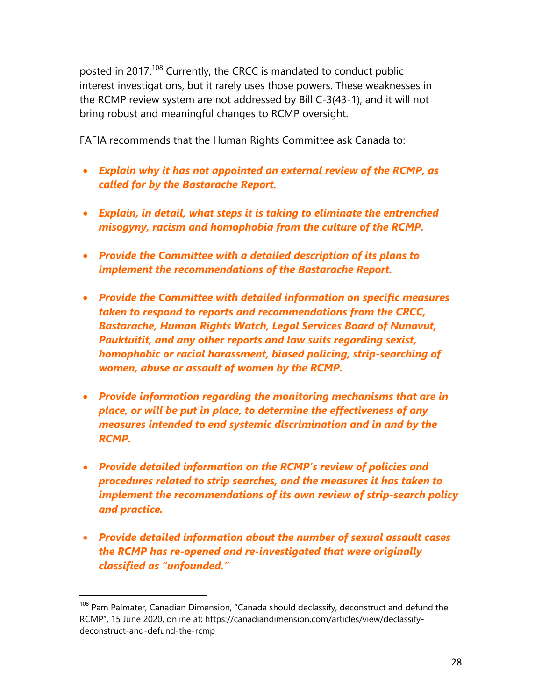posted in 2017.<sup>108</sup> Currently, the CRCC is mandated to conduct public interest investigations, but it rarely uses those powers. These weaknesses in the RCMP review system are not addressed by Bill C-3(43-1), and it will not bring robust and meaningful changes to RCMP oversight.

FAFIA recommends that the Human Rights Committee ask Canada to:

- *Explain why it has not appointed an external review of the RCMP, as called for by the Bastarache Report.*
- *Explain, in detail, what steps it is taking to eliminate the entrenched misogyny, racism and homophobia from the culture of the RCMP.*
- *Provide the Committee with a detailed description of its plans to implement the recommendations of the Bastarache Report.*
- *Provide the Committee with detailed information on specific measures taken to respond to reports and recommendations from the CRCC, Bastarache, Human Rights Watch, Legal Services Board of Nunavut, Pauktuitit, and any other reports and law suits regarding sexist, homophobic or racial harassment, biased policing, strip-searching of women, abuse or assault of women by the RCMP.*
- *Provide information regarding the monitoring mechanisms that are in place, or will be put in place, to determine the effectiveness of any measures intended to end systemic discrimination and in and by the RCMP.*
- *Provide detailed information on the RCMP's review of policies and procedures related to strip searches, and the measures it has taken to implement the recommendations of its own review of strip-search policy and practice.*
- *Provide detailed information about the number of sexual assault cases the RCMP has re-opened and re-investigated that were originally classified as "unfounded."*

<sup>&</sup>lt;sup>108</sup> Pam Palmater, Canadian Dimension, "Canada should declassify, deconstruct and defund the RCMP", 15 June 2020, online at: https://canadiandimension.com/articles/view/declassifydeconstruct-and-defund-the-rcmp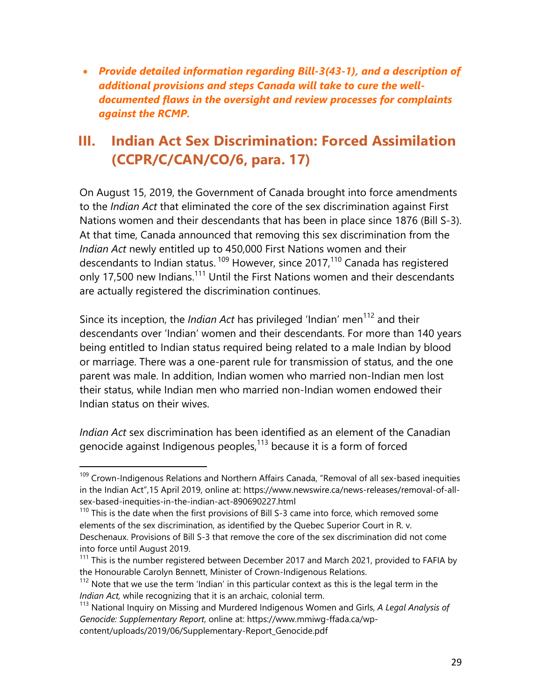*Provide detailed information regarding Bill-3(43-1), and a description of additional provisions and steps Canada will take to cure the welldocumented flaws in the oversight and review processes for complaints against the RCMP.* 

## **III. Indian Act Sex Discrimination: Forced Assimilation (CCPR/C/CAN/CO/6, para. 17)**

On August 15, 2019, the Government of Canada brought into force amendments to the *Indian Act* that eliminated the core of the sex discrimination against First Nations women and their descendants that has been in place since 1876 (Bill S-3). At that time, Canada announced that removing this sex discrimination from the *Indian Act* newly entitled up to 450,000 First Nations women and their descendants to Indian status.  $109$  However, since 2017,  $110$  Canada has registered only 17,500 new Indians.<sup>111</sup> Until the First Nations women and their descendants are actually registered the discrimination continues.

Since its inception, the *Indian Act* has privileged 'Indian' men<sup>112</sup> and their descendants over 'Indian' women and their descendants. For more than 140 years being entitled to Indian status required being related to a male Indian by blood or marriage. There was a one-parent rule for transmission of status, and the one parent was male. In addition, Indian women who married non-Indian men lost their status, while Indian men who married non-Indian women endowed their Indian status on their wives.

*Indian Act* sex discrimination has been identified as an element of the Canadian genocide against Indigenous peoples, $113$  because it is a form of forced

<sup>&</sup>lt;sup>109</sup> Crown-Indigenous Relations and Northern Affairs Canada, "Removal of all sex-based inequities in the Indian Act",15 April 2019, online at: https://www.newswire.ca/news-releases/removal-of-allsex-based-inequities-in-the-indian-act-890690227.html

 $110$  This is the date when the first provisions of Bill S-3 came into force, which removed some elements of the sex discrimination, as identified by the Quebec Superior Court in R. v. Deschenaux. Provisions of Bill S-3 that remove the core of the sex discrimination did not come into force until August 2019.

 $111$  This is the number registered between December 2017 and March 2021, provided to FAFIA by the Honourable Carolyn Bennett, Minister of Crown-Indigenous Relations.

 $112$  Note that we use the term 'Indian' in this particular context as this is the legal term in the *Indian Act,* while recognizing that it is an archaic, colonial term.

<sup>113</sup> National Inquiry on Missing and Murdered Indigenous Women and Girls, *A Legal Analysis of Genocide: Supplementary Report*, online at: https://www.mmiwg-ffada.ca/wpcontent/uploads/2019/06/Supplementary-Report\_Genocide.pdf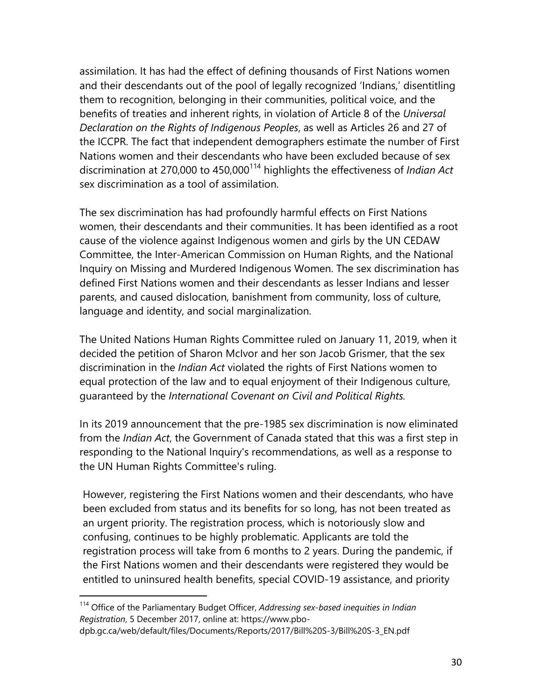assimilation. It has had the effect of defining thousands of First Nations women and their descendants out of the pool of legally recognized 'Indians,' disentitling them to recognition, belonging in their communities, political voice, and the benefits of treaties and inherent rights, in violation of Article 8 of the *Universal Declaration on the Rights of Indigenous Peoples*, as well as Articles 26 and 27 of the ICCPR. The fact that independent demographers estimate the number of First Nations women and their descendants who have been excluded because of sex discrimination at 270,000 to 450,000114 highlights the effectiveness of *Indian Act* sex discrimination as a tool of assimilation.

The sex discrimination has had profoundly harmful effects on First Nations women, their descendants and their communities. It has been identified as a root cause of the violence against Indigenous women and girls by the UN CEDAW Committee, the Inter-American Commission on Human Rights, and the National Inquiry on Missing and Murdered Indigenous Women. The sex discrimination has defined First Nations women and their descendants as lesser Indians and lesser parents, and caused dislocation, banishment from community, loss of culture, language and identity, and social marginalization.

The United Nations Human Rights Committee ruled on January 11, 2019, when it decided the petition of Sharon McIvor and her son Jacob Grismer, that the sex discrimination in the *Indian Act* violated the rights of First Nations women to equal protection of the law and to equal enjoyment of their Indigenous culture, guaranteed by the *International Covenant on Civil and Political Rights.* 

In its 2019 announcement that the pre-1985 sex discrimination is now eliminated from the *Indian Act*, the Government of Canada stated that this was a first step in responding to the National Inquiry's recommendations, as well as a response to the UN Human Rights Committee's ruling.

However, registering the First Nations women and their descendants, who have been excluded from status and its benefits for so long, has not been treated as an urgent priority. The registration process, which is notoriously slow and confusing, continues to be highly problematic. Applicants are told the registration process will take from 6 months to 2 years. During the pandemic, if the First Nations women and their descendants were registered they would be entitled to uninsured health benefits, special COVID-19 assistance, and priority

<sup>114</sup> Office of the Parliamentary Budget Officer, *Addressing sex-based inequities in Indian Registration*, 5 December 2017, online at: https://www.pbo-

dpb.gc.ca/web/default/files/Documents/Reports/2017/Bill%20S-3/Bill%20S-3\_EN.pdf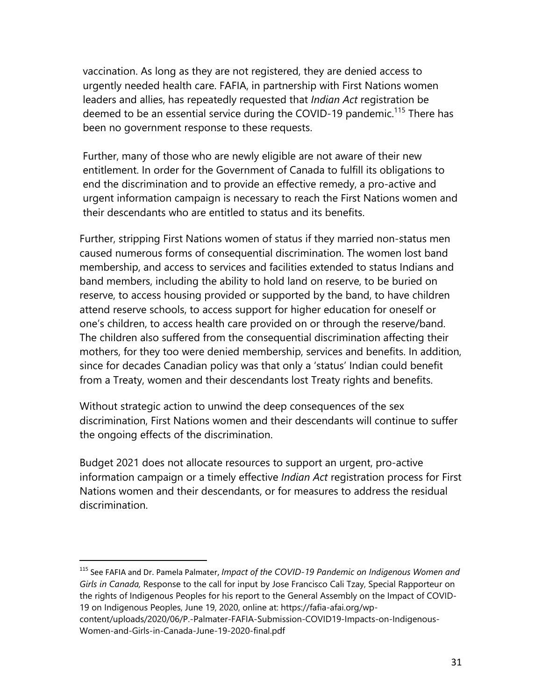vaccination. As long as they are not registered, they are denied access to urgently needed health care. FAFIA, in partnership with First Nations women leaders and allies, has repeatedly requested that *Indian Act* registration be deemed to be an essential service during the COVID-19 pandemic.<sup>115</sup> There has been no government response to these requests.

Further, many of those who are newly eligible are not aware of their new entitlement. In order for the Government of Canada to fulfill its obligations to end the discrimination and to provide an effective remedy, a pro-active and urgent information campaign is necessary to reach the First Nations women and their descendants who are entitled to status and its benefits.

Further, stripping First Nations women of status if they married non-status men caused numerous forms of consequential discrimination. The women lost band membership, and access to services and facilities extended to status Indians and band members, including the ability to hold land on reserve, to be buried on reserve, to access housing provided or supported by the band, to have children attend reserve schools, to access support for higher education for oneself or one's children, to access health care provided on or through the reserve/band. The children also suffered from the consequential discrimination affecting their mothers, for they too were denied membership, services and benefits. In addition, since for decades Canadian policy was that only a 'status' Indian could benefit from a Treaty, women and their descendants lost Treaty rights and benefits.

Without strategic action to unwind the deep consequences of the sex discrimination, First Nations women and their descendants will continue to suffer the ongoing effects of the discrimination.

Budget 2021 does not allocate resources to support an urgent, pro-active information campaign or a timely effective *Indian Act* registration process for First Nations women and their descendants, or for measures to address the residual discrimination.

<sup>115</sup> See FAFIA and Dr. Pamela Palmater, *Impact of the COVID-19 Pandemic on Indigenous Women and Girls in Canada,* Response to the call for input by Jose Francisco Cali Tzay, Special Rapporteur on the rights of Indigenous Peoples for his report to the General Assembly on the Impact of COVID-19 on Indigenous Peoples, June 19, 2020, online at: https://fafia-afai.org/wp-

content/uploads/2020/06/P.-Palmater-FAFIA-Submission-COVID19-Impacts-on-Indigenous-Women-and-Girls-in-Canada-June-19-2020-final.pdf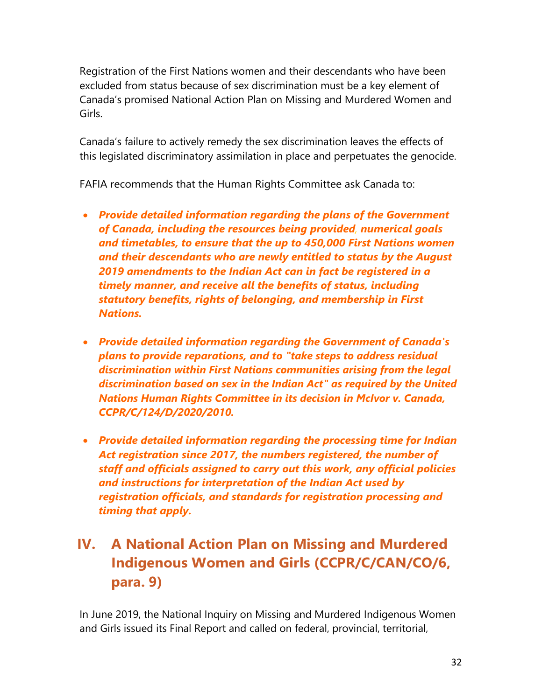Registration of the First Nations women and their descendants who have been excluded from status because of sex discrimination must be a key element of Canada's promised National Action Plan on Missing and Murdered Women and Girls.

Canada's failure to actively remedy the sex discrimination leaves the effects of this legislated discriminatory assimilation in place and perpetuates the genocide.

FAFIA recommends that the Human Rights Committee ask Canada to:

- *Provide detailed information regarding the plans of the Government of Canada, including the resources being provided, numerical goals and timetables, to ensure that the up to 450,000 First Nations women and their descendants who are newly entitled to status by the August 2019 amendments to the Indian Act can in fact be registered in a timely manner, and receive all the benefits of status, including statutory benefits, rights of belonging, and membership in First Nations.*
- *Provide detailed information regarding the Government of Canada's plans to provide reparations, and to "take steps to address residual discrimination within First Nations communities arising from the legal discrimination based on sex in the Indian Act" as required by the United Nations Human Rights Committee in its decision in McIvor v. Canada, CCPR/C/124/D/2020/2010.*
- *Provide detailed information regarding the processing time for Indian Act registration since 2017, the numbers registered, the number of staff and officials assigned to carry out this work, any official policies and instructions for interpretation of the Indian Act used by registration officials, and standards for registration processing and timing that apply.*

# **IV. A National Action Plan on Missing and Murdered Indigenous Women and Girls (CCPR/C/CAN/CO/6, para. 9)**

In June 2019, the National Inquiry on Missing and Murdered Indigenous Women and Girls issued its Final Report and called on federal, provincial, territorial,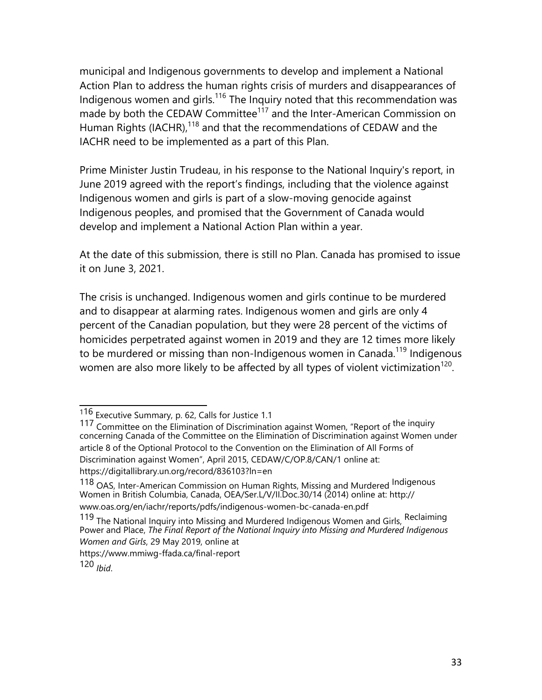municipal and Indigenous governments to develop and implement a National Action Plan to address the human rights crisis of murders and disappearances of Indigenous women and girls.<sup>116</sup> The Inquiry noted that this recommendation was made by both the CEDAW Committee<sup>117</sup> and the Inter-American Commission on Human Rights (IACHR),<sup>118</sup> and that the recommendations of CEDAW and the IACHR need to be implemented as a part of this Plan.

Prime Minister Justin Trudeau, in his response to the National Inquiry's report, in June 2019 agreed with the report's findings, including that the violence against Indigenous women and girls is part of a slow-moving genocide against Indigenous peoples, and promised that the Government of Canada would develop and implement a National Action Plan within a year.

At the date of this submission, there is still no Plan. Canada has promised to issue it on June 3, 2021.

The crisis is unchanged. Indigenous women and girls continue to be murdered and to disappear at alarming rates. Indigenous women and girls are only 4 percent of the Canadian population, but they were 28 percent of the victims of homicides perpetrated against women in 2019 and they are 12 times more likely to be murdered or missing than non-Indigenous women in Canada.<sup>119</sup> Indigenous women are also more likely to be affected by all types of violent victimization<sup>120</sup>.

<sup>1</sup>16 Executive Summary, p. 62, Calls for Justice 1.1

<sup>117</sup> Committee on the Elimination of Discrimination against Women, "Report of the inquiry concerning Canada of the Committee on the Elimination of Discrimination against Women under article 8 of the Optional Protocol to the Convention on the Elimination of All Forms of Discrimination against Women", April 2015, CEDAW/C/OP.8/CAN/1 online at: https://digitallibrary.un.org/record/836103?ln=en

<sup>118</sup> OAS, Inter-American Commission on Human Rights, Missing and Murdered <sup>Indigenous</sup> Women in British Columbia, Canada, OEA/Ser.L/V/II.Doc.30/14 (2014) online at: http:// www.oas.org/en/iachr/reports/pdfs/indigenous-women-bc-canada-en.pdf

<sup>119</sup> The National Inquiry into Missing and Murdered Indigenous Women and Girls, Reclaiming Power and Place, *The Final Report of the National Inquiry into Missing and Murdered Indigenous Women and Girls*, 29 May 2019, online at https://www.mmiwg-ffada.ca/final-report

<sup>120</sup> *Ibid*.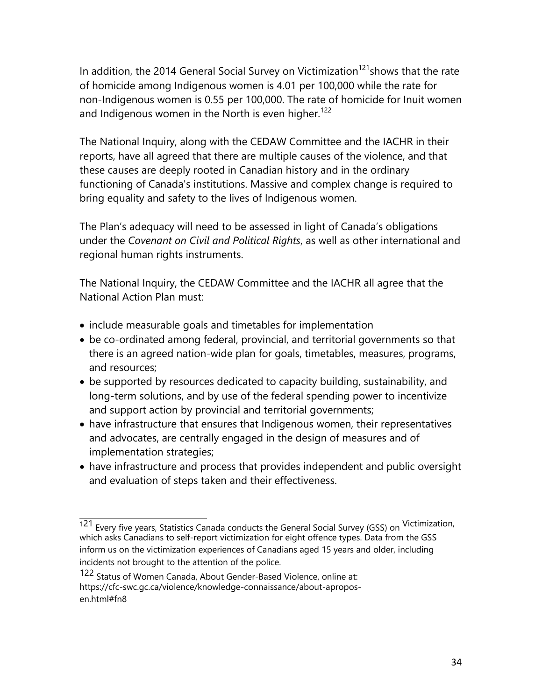In addition, the 2014 General Social Survey on Victimization<sup>121</sup>shows that the rate of homicide among Indigenous women is 4.01 per 100,000 while the rate for non-Indigenous women is 0.55 per 100,000. The rate of homicide for Inuit women and Indigenous women in the North is even higher.<sup>122</sup>

The National Inquiry, along with the CEDAW Committee and the IACHR in their reports, have all agreed that there are multiple causes of the violence, and that these causes are deeply rooted in Canadian history and in the ordinary functioning of Canada's institutions. Massive and complex change is required to bring equality and safety to the lives of Indigenous women.

The Plan's adequacy will need to be assessed in light of Canada's obligations under the *Covenant on Civil and Political Rights*, as well as other international and regional human rights instruments.

The National Inquiry, the CEDAW Committee and the IACHR all agree that the National Action Plan must:

- include measurable goals and timetables for implementation
- be co-ordinated among federal, provincial, and territorial governments so that there is an agreed nation-wide plan for goals, timetables, measures, programs, and resources;
- be supported by resources dedicated to capacity building, sustainability, and long-term solutions, and by use of the federal spending power to incentivize and support action by provincial and territorial governments;
- have infrastructure that ensures that Indigenous women, their representatives and advocates, are centrally engaged in the design of measures and of implementation strategies;
- have infrastructure and process that provides independent and public oversight and evaluation of steps taken and their effectiveness.

 $121$  Every five years, Statistics Canada conducts the General Social Survey (GSS) on Victimization, which asks Canadians to self-report victimization for eight offence types. Data from the GSS inform us on the victimization experiences of Canadians aged 15 years and older, including incidents not brought to the attention of the police.

<sup>122</sup> Status of Women Canada, About Gender-Based Violence, online at: https://cfc-swc.gc.ca/violence/knowledge-connaissance/about-aproposen.html#fn8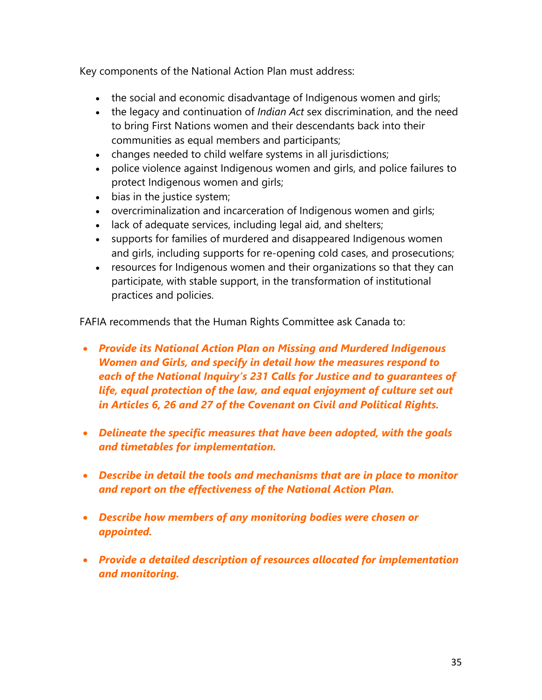Key components of the National Action Plan must address:

- the social and economic disadvantage of Indigenous women and girls;
- the legacy and continuation of *Indian Act* sex discrimination, and the need to bring First Nations women and their descendants back into their communities as equal members and participants;
- changes needed to child welfare systems in all jurisdictions;
- police violence against Indigenous women and girls, and police failures to protect Indigenous women and girls;
- bias in the justice system;
- overcriminalization and incarceration of Indigenous women and girls;
- lack of adequate services, including legal aid, and shelters;
- supports for families of murdered and disappeared Indigenous women and girls, including supports for re-opening cold cases, and prosecutions;
- resources for Indigenous women and their organizations so that they can participate, with stable support, in the transformation of institutional practices and policies.

FAFIA recommends that the Human Rights Committee ask Canada to:

- *Provide its National Action Plan on Missing and Murdered Indigenous Women and Girls, and specify in detail how the measures respond to each of the National Inquiry's 231 Calls for Justice and to guarantees of life, equal protection of the law, and equal enjoyment of culture set out in Articles 6, 26 and 27 of the Covenant on Civil and Political Rights.*
- *Delineate the specific measures that have been adopted, with the goals and timetables for implementation.*
- *Describe in detail the tools and mechanisms that are in place to monitor and report on the effectiveness of the National Action Plan.*
- *Describe how members of any monitoring bodies were chosen or appointed.*
- *Provide a detailed description of resources allocated for implementation and monitoring.*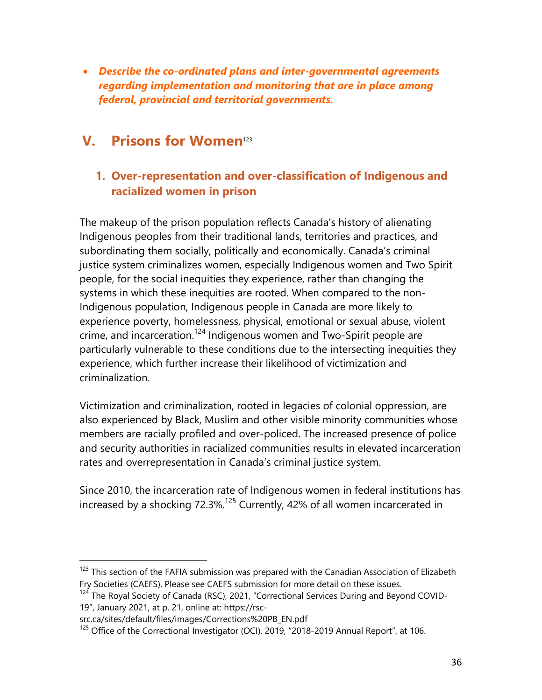*Describe the co-ordinated plans and inter-governmental agreements regarding implementation and monitoring that are in place among federal, provincial and territorial governments.*

## **V. Prisons for Women**<sup>123</sup>

### **1. Over-representation and over-classification of Indigenous and racialized women in prison**

The makeup of the prison population reflects Canada's history of alienating Indigenous peoples from their traditional lands, territories and practices, and subordinating them socially, politically and economically. Canada's criminal justice system criminalizes women, especially Indigenous women and Two Spirit people, for the social inequities they experience, rather than changing the systems in which these inequities are rooted. When compared to the non-Indigenous population, Indigenous people in Canada are more likely to experience poverty, homelessness, physical, emotional or sexual abuse, violent crime, and incarceration.124 Indigenous women and Two-Spirit people are particularly vulnerable to these conditions due to the intersecting inequities they experience, which further increase their likelihood of victimization and criminalization.

Victimization and criminalization, rooted in legacies of colonial oppression, are also experienced by Black, Muslim and other visible minority communities whose members are racially profiled and over-policed. The increased presence of police and security authorities in racialized communities results in elevated incarceration rates and overrepresentation in Canada's criminal justice system.

Since 2010, the incarceration rate of Indigenous women in federal institutions has increased by a shocking 72.3%.<sup>125</sup> Currently, 42% of all women incarcerated in

<sup>&</sup>lt;sup>123</sup> This section of the FAFIA submission was prepared with the Canadian Association of Elizabeth Fry Societies (CAEFS). Please see CAEFS submission for more detail on these issues.

 $124$  The Royal Society of Canada (RSC), 2021, "Correctional Services During and Beyond COVID-19", January 2021, at p. 21, online at: https://rsc-

src.ca/sites/default/files/images/Corrections%20PB\_EN.pdf

<sup>&</sup>lt;sup>125</sup> Office of the Correctional Investigator (OCI), 2019, "2018-2019 Annual Report", at 106.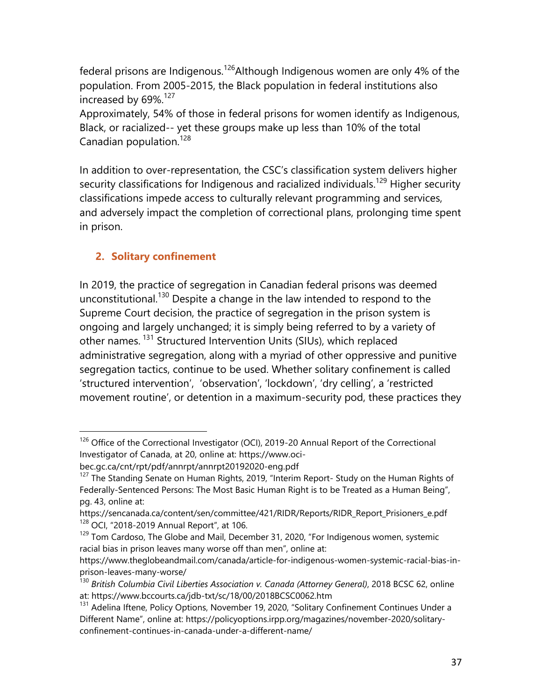federal prisons are Indigenous.126Although Indigenous women are only 4% of the population. From 2005-2015, the Black population in federal institutions also increased by 69%.<sup>127</sup>

Approximately, 54% of those in federal prisons for women identify as Indigenous, Black, or racialized-- yet these groups make up less than 10% of the total Canadian population.<sup>128</sup>

In addition to over-representation, the CSC's classification system delivers higher security classifications for Indigenous and racialized individuals.<sup>129</sup> Higher security classifications impede access to culturally relevant programming and services, and adversely impact the completion of correctional plans, prolonging time spent in prison.

#### **2. Solitary confinement**

In 2019, the practice of segregation in Canadian federal prisons was deemed unconstitutional.<sup>130</sup> Despite a change in the law intended to respond to the Supreme Court decision, the practice of segregation in the prison system is ongoing and largely unchanged; it is simply being referred to by a variety of other names.<sup>131</sup> Structured Intervention Units (SIUs), which replaced administrative segregation, along with a myriad of other oppressive and punitive segregation tactics, continue to be used. Whether solitary confinement is called 'structured intervention', 'observation', 'lockdown', 'dry celling', a 'restricted movement routine', or detention in a maximum-security pod, these practices they

<sup>&</sup>lt;sup>126</sup> Office of the Correctional Investigator (OCI), 2019-20 Annual Report of the Correctional Investigator of Canada, at 20, online at: https://www.oci-

bec.gc.ca/cnt/rpt/pdf/annrpt/annrpt20192020-eng.pdf

 $127$  The Standing Senate on Human Rights, 2019, "Interim Report- Study on the Human Rights of Federally-Sentenced Persons: The Most Basic Human Right is to be Treated as a Human Being", pg. 43, online at:

https://sencanada.ca/content/sen/committee/421/RIDR/Reports/RIDR\_Report\_Prisioners\_e.pdf 128 OCI, "2018-2019 Annual Report", at 106.

<sup>&</sup>lt;sup>129</sup> Tom Cardoso, The Globe and Mail, December 31, 2020, "For Indigenous women, systemic racial bias in prison leaves many worse off than men", online at:

https://www.theglobeandmail.com/canada/article-for-indigenous-women-systemic-racial-bias-inprison-leaves-many-worse/

<sup>130</sup> *British Columbia Civil Liberties Association v. Canada (Attorney General)*, 2018 BCSC 62, online at: https://www.bccourts.ca/jdb-txt/sc/18/00/2018BCSC0062.htm

<sup>&</sup>lt;sup>131</sup> Adelina Iftene, Policy Options, November 19, 2020, "Solitary Confinement Continues Under a Different Name", online at: https://policyoptions.irpp.org/magazines/november-2020/solitaryconfinement-continues-in-canada-under-a-different-name/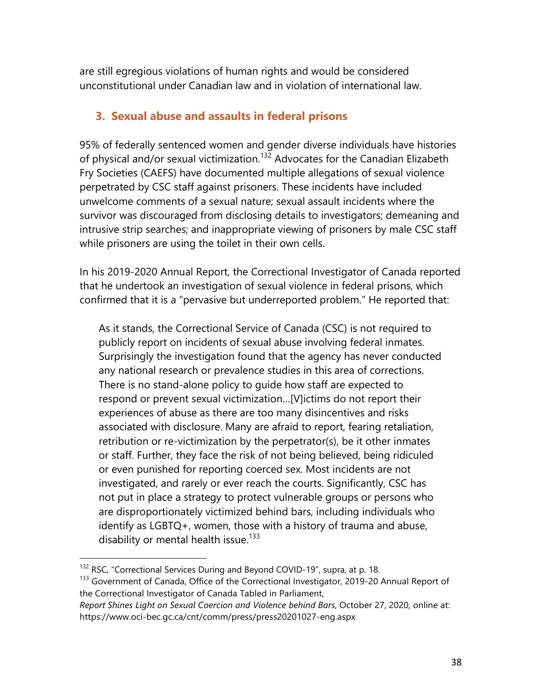are still egregious violations of human rights and would be considered unconstitutional under Canadian law and in violation of international law.

#### **3. Sexual abuse and assaults in federal prisons**

95% of federally sentenced women and gender diverse individuals have histories of physical and/or sexual victimization.<sup>132</sup> Advocates for the Canadian Elizabeth Fry Societies (CAEFS) have documented multiple allegations of sexual violence perpetrated by CSC staff against prisoners. These incidents have included unwelcome comments of a sexual nature; sexual assault incidents where the survivor was discouraged from disclosing details to investigators; demeaning and intrusive strip searches; and inappropriate viewing of prisoners by male CSC staff while prisoners are using the toilet in their own cells.

In his 2019-2020 Annual Report, the Correctional Investigator of Canada reported that he undertook an investigation of sexual violence in federal prisons, which confirmed that it is a "pervasive but underreported problem." He reported that:

As it stands, the Correctional Service of Canada (CSC) is not required to publicly report on incidents of sexual abuse involving federal inmates. Surprisingly the investigation found that the agency has never conducted any national research or prevalence studies in this area of corrections. There is no stand-alone policy to guide how staff are expected to respond or prevent sexual victimization…[V]ictims do not report their experiences of abuse as there are too many disincentives and risks associated with disclosure. Many are afraid to report, fearing retaliation, retribution or re-victimization by the perpetrator(s), be it other inmates or staff. Further, they face the risk of not being believed, being ridiculed or even punished for reporting coerced sex. Most incidents are not investigated, and rarely or ever reach the courts. Significantly, CSC has not put in place a strategy to protect vulnerable groups or persons who are disproportionately victimized behind bars, including individuals who identify as LGBTQ+, women, those with a history of trauma and abuse, disability or mental health issue.<sup>133</sup>

<sup>&</sup>lt;sup>132</sup> RSC, "Correctional Services During and Beyond COVID-19", supra, at p. 18.

<sup>&</sup>lt;sup>133</sup> Government of Canada, Office of the Correctional Investigator, 2019-20 Annual Report of the Correctional Investigator of Canada Tabled in Parliament,

*Report Shines Light on Sexual Coercion and Violence behind Bars*, October 27, 2020, online at: https://www.oci-bec.gc.ca/cnt/comm/press/press20201027-eng.aspx